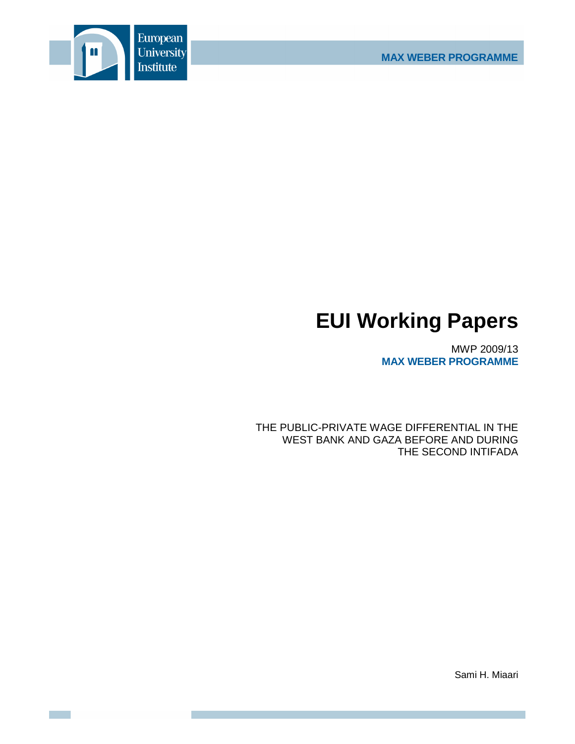

# **EUI Working Papers**

MWP 2009/13 **MAX WEBER PROGRAMME**

THE PUBLIC-PRIVATE WAGE DIFFERENTIAL IN THE WEST BANK AND GAZA BEFORE AND DURING THE SECOND INTIFADA

Sami H. Miaari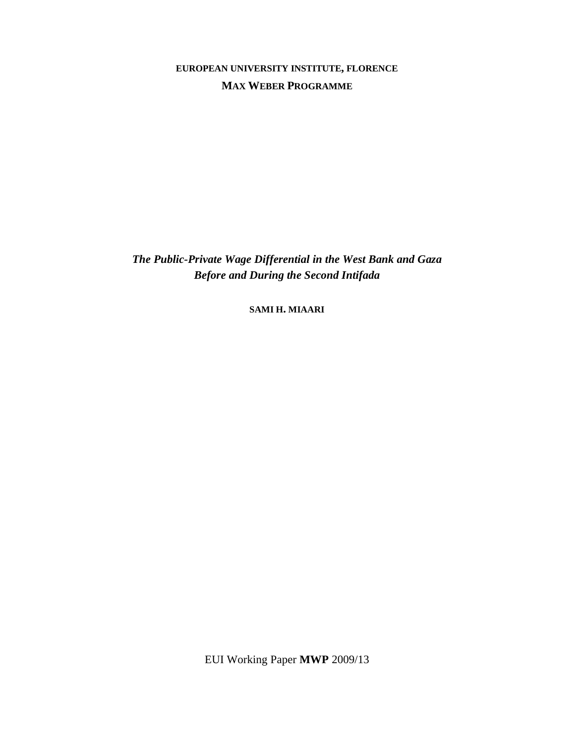**EUROPEAN UNIVERSITY INSTITUTE, FLORENCE MAX WEBER PROGRAMME**

*The Public-Private Wage Differential in the West Bank and Gaza Before and During the Second Intifada* 

**SAMI H. MIAARI**

EUI Working Paper **MWP** 2009/13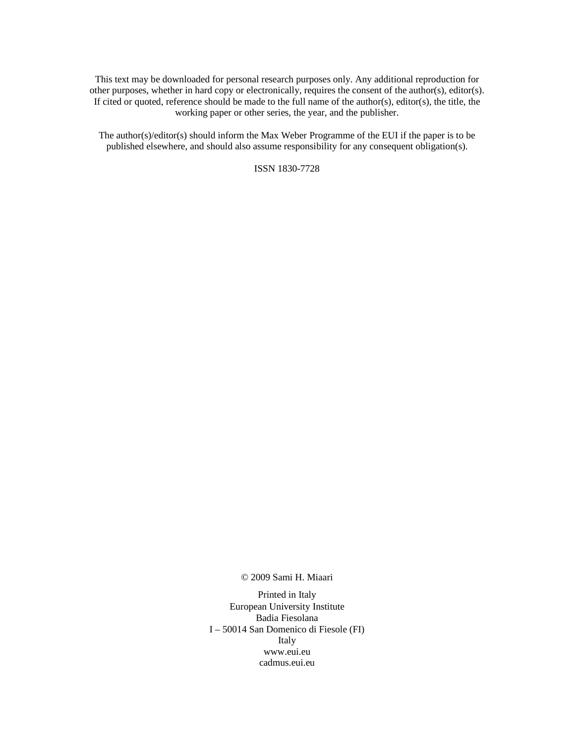This text may be downloaded for personal research purposes only. Any additional reproduction for other purposes, whether in hard copy or electronically, requires the consent of the author(s), editor(s). If cited or quoted, reference should be made to the full name of the author(s), editor(s), the title, the working paper or other series, the year, and the publisher.

The author(s)/editor(s) should inform the Max Weber Programme of the EUI if the paper is to be published elsewhere, and should also assume responsibility for any consequent obligation(s).

ISSN 1830-7728

© 2009 Sami H. Miaari

Printed in Italy European University Institute Badia Fiesolana I – 50014 San Domenico di Fiesole (FI) Italy www.eui.eu cadmus.eui.eu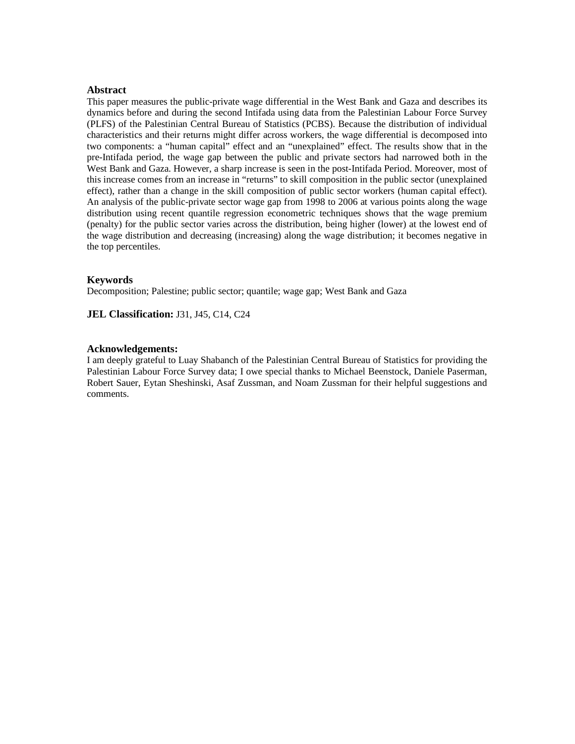#### **Abstract**

This paper measures the public-private wage differential in the West Bank and Gaza and describes its dynamics before and during the second Intifada using data from the Palestinian Labour Force Survey (PLFS) of the Palestinian Central Bureau of Statistics (PCBS). Because the distribution of individual characteristics and their returns might differ across workers, the wage differential is decomposed into two components: a "human capital" effect and an "unexplained" effect. The results show that in the pre-Intifada period, the wage gap between the public and private sectors had narrowed both in the West Bank and Gaza. However, a sharp increase is seen in the post-Intifada Period. Moreover, most of this increase comes from an increase in "returns" to skill composition in the public sector (unexplained effect), rather than a change in the skill composition of public sector workers (human capital effect). An analysis of the public-private sector wage gap from 1998 to 2006 at various points along the wage distribution using recent quantile regression econometric techniques shows that the wage premium (penalty) for the public sector varies across the distribution, being higher (lower) at the lowest end of the wage distribution and decreasing (increasing) along the wage distribution; it becomes negative in the top percentiles.

#### **Keywords**

Decomposition; Palestine; public sector; quantile; wage gap; West Bank and Gaza

**JEL Classification:** J31, J45, C14, C24

#### **Acknowledgements:**

I am deeply grateful to Luay Shabanch of the Palestinian Central Bureau of Statistics for providing the Palestinian Labour Force Survey data; I owe special thanks to Michael Beenstock, Daniele Paserman, Robert Sauer, Eytan Sheshinski, Asaf Zussman, and Noam Zussman for their helpful suggestions and comments.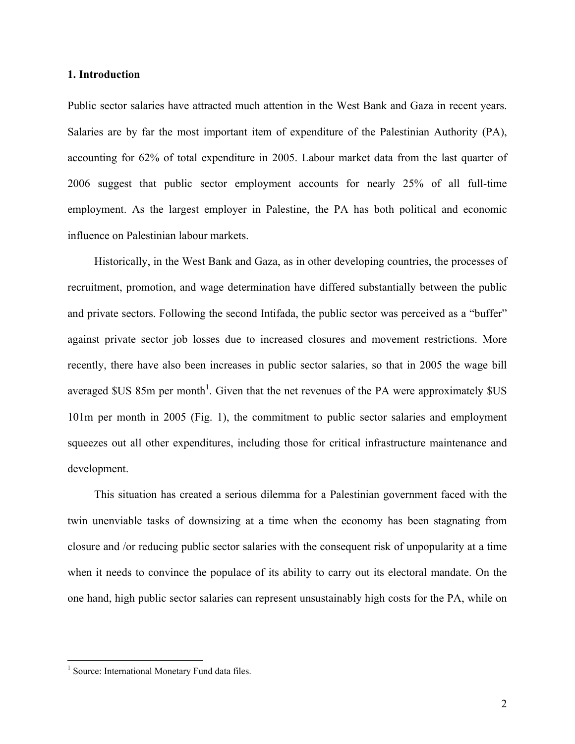#### **1. Introduction**

Public sector salaries have attracted much attention in the West Bank and Gaza in recent years. Salaries are by far the most important item of expenditure of the Palestinian Authority (PA), accounting for 62% of total expenditure in 2005. Labour market data from the last quarter of 2006 suggest that public sector employment accounts for nearly 25% of all full-time employment. As the largest employer in Palestine, the PA has both political and economic influence on Palestinian labour markets.

Historically, in the West Bank and Gaza, as in other developing countries, the processes of recruitment, promotion, and wage determination have differed substantially between the public and private sectors. Following the second Intifada, the public sector was perceived as a "buffer" against private sector job losses due to increased closures and movement restrictions. More recently, there have also been increases in public sector salaries, so that in 2005 the wage bill averaged  $SUS 85m$  per month<sup>1</sup>. Given that the net revenues of the PA were approximately  $SUS$ 101m per month in 2005 (Fig. 1), the commitment to public sector salaries and employment squeezes out all other expenditures, including those for critical infrastructure maintenance and development.

This situation has created a serious dilemma for a Palestinian government faced with the twin unenviable tasks of downsizing at a time when the economy has been stagnating from closure and /or reducing public sector salaries with the consequent risk of unpopularity at a time when it needs to convince the populace of its ability to carry out its electoral mandate. On the one hand, high public sector salaries can represent unsustainably high costs for the PA, while on

 $\overline{a}$ 

<sup>&</sup>lt;sup>1</sup> Source: International Monetary Fund data files.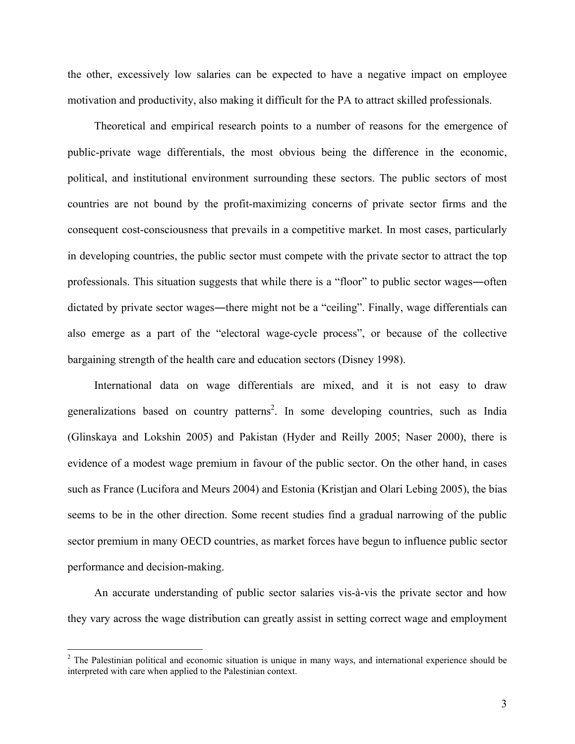the other, excessively low salaries can be expected to have a negative impact on employee motivation and productivity, also making it difficult for the PA to attract skilled professionals.

Theoretical and empirical research points to a number of reasons for the emergence of public-private wage differentials, the most obvious being the difference in the economic, political, and institutional environment surrounding these sectors. The public sectors of most countries are not bound by the profit-maximizing concerns of private sector firms and the consequent cost-consciousness that prevails in a competitive market. In most cases, particularly in developing countries, the public sector must compete with the private sector to attract the top professionals. This situation suggests that while there is a "floor" to public sector wages―often dictated by private sector wages―there might not be a "ceiling". Finally, wage differentials can also emerge as a part of the "electoral wage-cycle process", or because of the collective bargaining strength of the health care and education sectors (Disney 1998).

International data on wage differentials are mixed, and it is not easy to draw generalizations based on country patterns<sup>2</sup>. In some developing countries, such as India (Glinskaya and Lokshin 2005) and Pakistan (Hyder and Reilly 2005; Naser 2000), there is evidence of a modest wage premium in favour of the public sector. On the other hand, in cases such as France (Lucifora and Meurs 2004) and Estonia (Kristjan and Olari Lebing 2005), the bias seems to be in the other direction. Some recent studies find a gradual narrowing of the public sector premium in many OECD countries, as market forces have begun to influence public sector performance and decision-making.

An accurate understanding of public sector salaries vis-à-vis the private sector and how they vary across the wage distribution can greatly assist in setting correct wage and employment

 $\overline{a}$ 

 $2^2$  The Palestinian political and economic situation is unique in many ways, and international experience should be interpreted with care when applied to the Palestinian context.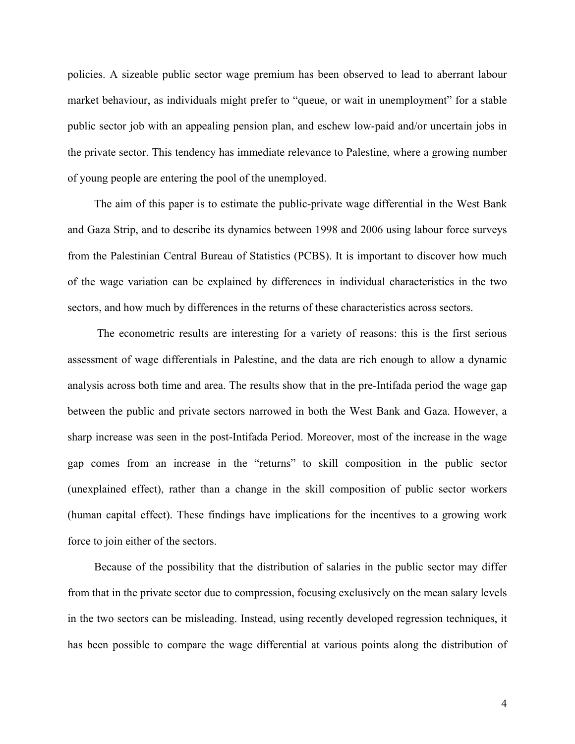policies. A sizeable public sector wage premium has been observed to lead to aberrant labour market behaviour, as individuals might prefer to "queue, or wait in unemployment" for a stable public sector job with an appealing pension plan, and eschew low-paid and/or uncertain jobs in the private sector. This tendency has immediate relevance to Palestine, where a growing number of young people are entering the pool of the unemployed.

The aim of this paper is to estimate the public-private wage differential in the West Bank and Gaza Strip, and to describe its dynamics between 1998 and 2006 using labour force surveys from the Palestinian Central Bureau of Statistics (PCBS). It is important to discover how much of the wage variation can be explained by differences in individual characteristics in the two sectors, and how much by differences in the returns of these characteristics across sectors.

 The econometric results are interesting for a variety of reasons: this is the first serious assessment of wage differentials in Palestine, and the data are rich enough to allow a dynamic analysis across both time and area. The results show that in the pre-Intifada period the wage gap between the public and private sectors narrowed in both the West Bank and Gaza. However, a sharp increase was seen in the post-Intifada Period. Moreover, most of the increase in the wage gap comes from an increase in the "returns" to skill composition in the public sector (unexplained effect), rather than a change in the skill composition of public sector workers (human capital effect). These findings have implications for the incentives to a growing work force to join either of the sectors.

Because of the possibility that the distribution of salaries in the public sector may differ from that in the private sector due to compression, focusing exclusively on the mean salary levels in the two sectors can be misleading. Instead, using recently developed regression techniques, it has been possible to compare the wage differential at various points along the distribution of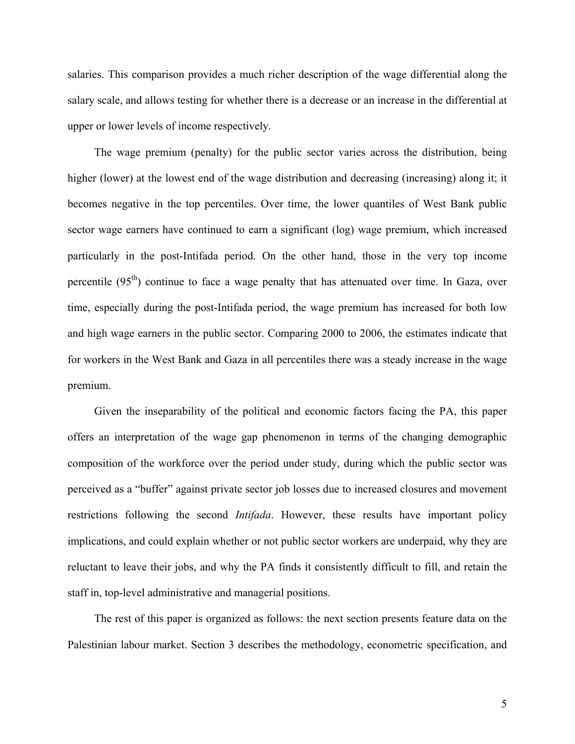salaries. This comparison provides a much richer description of the wage differential along the salary scale, and allows testing for whether there is a decrease or an increase in the differential at upper or lower levels of income respectively.

The wage premium (penalty) for the public sector varies across the distribution, being higher (lower) at the lowest end of the wage distribution and decreasing (increasing) along it; it becomes negative in the top percentiles. Over time, the lower quantiles of West Bank public sector wage earners have continued to earn a significant (log) wage premium, which increased particularly in the post-Intifada period. On the other hand, those in the very top income percentile (95<sup>th</sup>) continue to face a wage penalty that has attenuated over time. In Gaza, over time, especially during the post-Intifada period, the wage premium has increased for both low and high wage earners in the public sector. Comparing 2000 to 2006, the estimates indicate that for workers in the West Bank and Gaza in all percentiles there was a steady increase in the wage premium.

Given the inseparability of the political and economic factors facing the PA, this paper offers an interpretation of the wage gap phenomenon in terms of the changing demographic composition of the workforce over the period under study, during which the public sector was perceived as a "buffer" against private sector job losses due to increased closures and movement restrictions following the second *Intifada*. However, these results have important policy implications, and could explain whether or not public sector workers are underpaid, why they are reluctant to leave their jobs, and why the PA finds it consistently difficult to fill, and retain the staff in, top-level administrative and managerial positions.

The rest of this paper is organized as follows: the next section presents feature data on the Palestinian labour market. Section 3 describes the methodology, econometric specification, and

5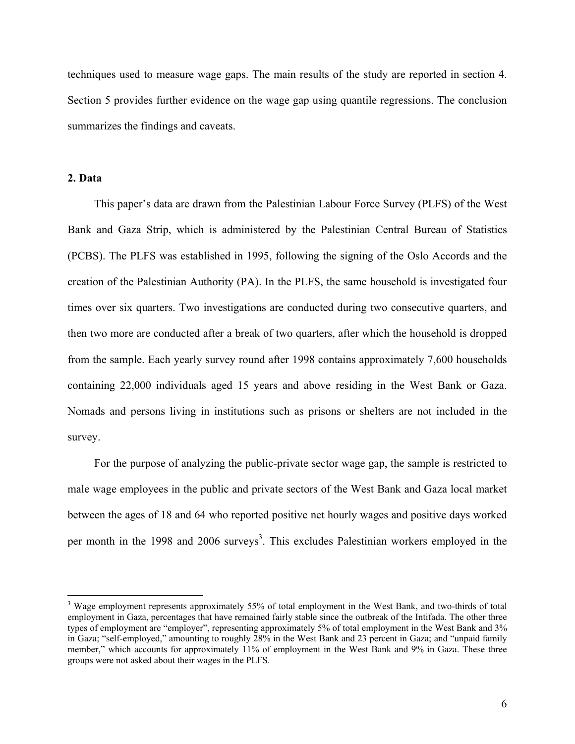techniques used to measure wage gaps. The main results of the study are reported in section 4. Section 5 provides further evidence on the wage gap using quantile regressions. The conclusion summarizes the findings and caveats.

## **2. Data**

 $\overline{a}$ 

This paper's data are drawn from the Palestinian Labour Force Survey (PLFS) of the West Bank and Gaza Strip, which is administered by the Palestinian Central Bureau of Statistics (PCBS). The PLFS was established in 1995, following the signing of the Oslo Accords and the creation of the Palestinian Authority (PA). In the PLFS, the same household is investigated four times over six quarters. Two investigations are conducted during two consecutive quarters, and then two more are conducted after a break of two quarters, after which the household is dropped from the sample. Each yearly survey round after 1998 contains approximately 7,600 households containing 22,000 individuals aged 15 years and above residing in the West Bank or Gaza. Nomads and persons living in institutions such as prisons or shelters are not included in the survey.

For the purpose of analyzing the public-private sector wage gap, the sample is restricted to male wage employees in the public and private sectors of the West Bank and Gaza local market between the ages of 18 and 64 who reported positive net hourly wages and positive days worked per month in the 1998 and 2006 surveys<sup>3</sup>. This excludes Palestinian workers employed in the

<sup>&</sup>lt;sup>3</sup> Wage employment represents approximately 55% of total employment in the West Bank, and two-thirds of total employment in Gaza, percentages that have remained fairly stable since the outbreak of the Intifada. The other three types of employment are "employer", representing approximately 5% of total employment in the West Bank and 3% in Gaza; "self-employed," amounting to roughly 28% in the West Bank and 23 percent in Gaza; and "unpaid family member," which accounts for approximately 11% of employment in the West Bank and 9% in Gaza. These three groups were not asked about their wages in the PLFS.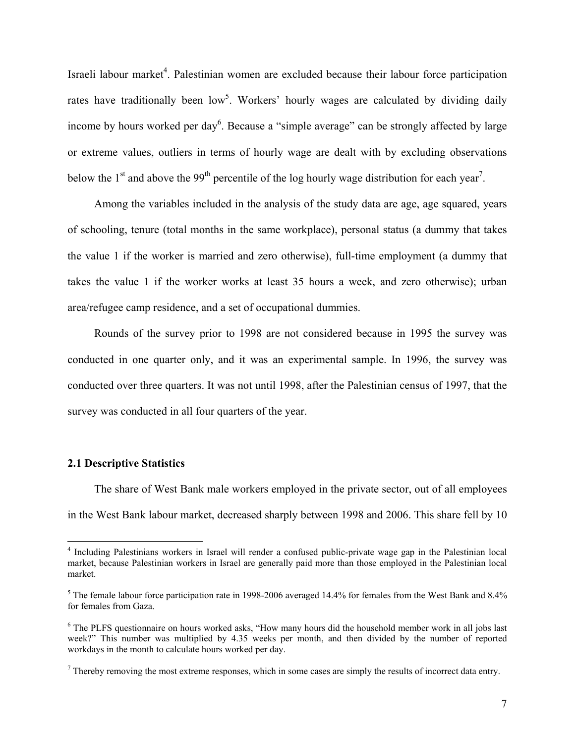Israeli labour market<sup>4</sup>. Palestinian women are excluded because their labour force participation rates have traditionally been low<sup>5</sup>. Workers' hourly wages are calculated by dividing daily income by hours worked per day<sup>6</sup>. Because a "simple average" can be strongly affected by large or extreme values, outliers in terms of hourly wage are dealt with by excluding observations below the  $1<sup>st</sup>$  and above the 99<sup>th</sup> percentile of the log hourly wage distribution for each year<sup>7</sup>.

Among the variables included in the analysis of the study data are age, age squared, years of schooling, tenure (total months in the same workplace), personal status (a dummy that takes the value 1 if the worker is married and zero otherwise), full-time employment (a dummy that takes the value 1 if the worker works at least 35 hours a week, and zero otherwise); urban area/refugee camp residence, and a set of occupational dummies.

Rounds of the survey prior to 1998 are not considered because in 1995 the survey was conducted in one quarter only, and it was an experimental sample. In 1996, the survey was conducted over three quarters. It was not until 1998, after the Palestinian census of 1997, that the survey was conducted in all four quarters of the year.

#### **2.1 Descriptive Statistics**

 $\overline{a}$ 

The share of West Bank male workers employed in the private sector, out of all employees in the West Bank labour market, decreased sharply between 1998 and 2006. This share fell by 10

<sup>&</sup>lt;sup>4</sup> Including Palestinians workers in Israel will render a confused public-private wage gap in the Palestinian local market, because Palestinian workers in Israel are generally paid more than those employed in the Palestinian local market.

<sup>&</sup>lt;sup>5</sup> The female labour force participation rate in 1998-2006 averaged 14.4% for females from the West Bank and  $8.4\%$ for females from Gaza.

<sup>&</sup>lt;sup>6</sup> The PLFS questionnaire on hours worked asks, "How many hours did the household member work in all jobs last week?" This number was multiplied by 4.35 weeks per month, and then divided by the number of reported workdays in the month to calculate hours worked per day.

 $<sup>7</sup>$  Thereby removing the most extreme responses, which in some cases are simply the results of incorrect data entry.</sup>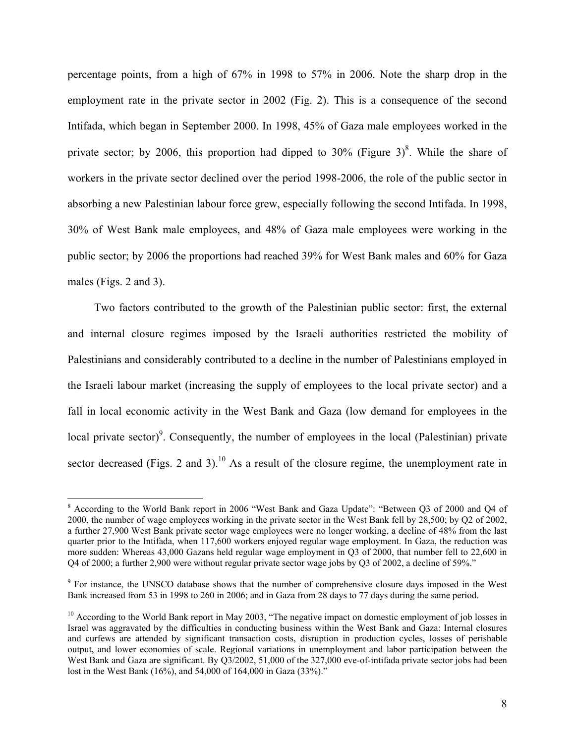percentage points, from a high of 67% in 1998 to 57% in 2006. Note the sharp drop in the employment rate in the private sector in 2002 (Fig. 2). This is a consequence of the second Intifada, which began in September 2000. In 1998, 45% of Gaza male employees worked in the private sector; by 2006, this proportion had dipped to 30% (Figure 3)<sup>8</sup>. While the share of workers in the private sector declined over the period 1998-2006, the role of the public sector in absorbing a new Palestinian labour force grew, especially following the second Intifada. In 1998, 30% of West Bank male employees, and 48% of Gaza male employees were working in the public sector; by 2006 the proportions had reached 39% for West Bank males and 60% for Gaza males (Figs. 2 and 3).

Two factors contributed to the growth of the Palestinian public sector: first, the external and internal closure regimes imposed by the Israeli authorities restricted the mobility of Palestinians and considerably contributed to a decline in the number of Palestinians employed in the Israeli labour market (increasing the supply of employees to the local private sector) and a fall in local economic activity in the West Bank and Gaza (low demand for employees in the local private sector)<sup>9</sup>. Consequently, the number of employees in the local (Palestinian) private sector decreased (Figs. 2 and 3).<sup>10</sup> As a result of the closure regime, the unemployment rate in

 $\overline{a}$ 

<sup>&</sup>lt;sup>8</sup> According to the World Bank report in 2006 "West Bank and Gaza Update": "Between Q3 of 2000 and Q4 of 2000, the number of wage employees working in the private sector in the West Bank fell by 28,500; by Q2 of 2002, a further 27,900 West Bank private sector wage employees were no longer working, a decline of 48% from the last quarter prior to the Intifada, when 117,600 workers enjoyed regular wage employment. In Gaza, the reduction was more sudden: Whereas 43,000 Gazans held regular wage employment in Q3 of 2000, that number fell to 22,600 in Q4 of 2000; a further 2,900 were without regular private sector wage jobs by Q3 of 2002, a decline of 59%."

<sup>&</sup>lt;sup>9</sup> For instance, the UNSCO database shows that the number of comprehensive closure days imposed in the West Bank increased from 53 in 1998 to 260 in 2006; and in Gaza from 28 days to 77 days during the same period.

 $10$  According to the World Bank report in May 2003, "The negative impact on domestic employment of job losses in Israel was aggravated by the difficulties in conducting business within the West Bank and Gaza: Internal closures and curfews are attended by significant transaction costs, disruption in production cycles, losses of perishable output, and lower economies of scale. Regional variations in unemployment and labor participation between the West Bank and Gaza are significant. By Q3/2002, 51,000 of the 327,000 eve-of-intifada private sector jobs had been lost in the West Bank (16%), and 54,000 of 164,000 in Gaza (33%)."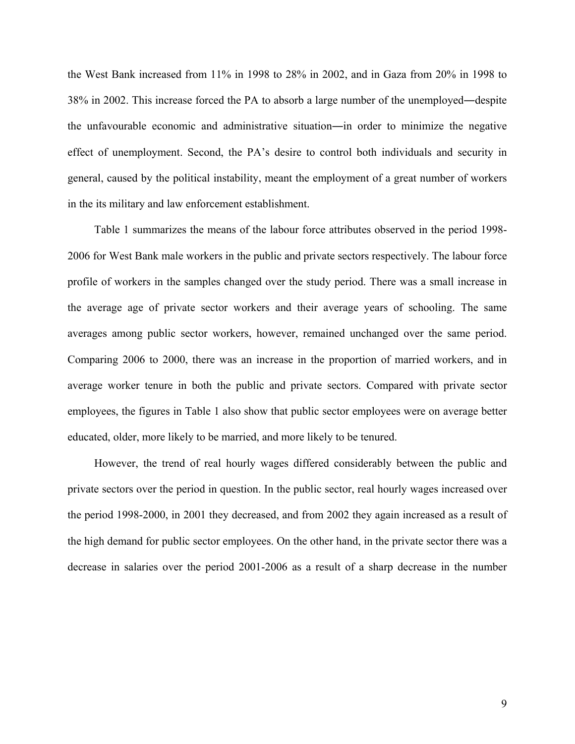the West Bank increased from 11% in 1998 to 28% in 2002, and in Gaza from 20% in 1998 to 38% in 2002. This increase forced the PA to absorb a large number of the unemployed―despite the unfavourable economic and administrative situation―in order to minimize the negative effect of unemployment. Second, the PA's desire to control both individuals and security in general, caused by the political instability, meant the employment of a great number of workers in the its military and law enforcement establishment.

Table 1 summarizes the means of the labour force attributes observed in the period 1998- 2006 for West Bank male workers in the public and private sectors respectively. The labour force profile of workers in the samples changed over the study period. There was a small increase in the average age of private sector workers and their average years of schooling. The same averages among public sector workers, however, remained unchanged over the same period. Comparing 2006 to 2000, there was an increase in the proportion of married workers, and in average worker tenure in both the public and private sectors. Compared with private sector employees, the figures in Table 1 also show that public sector employees were on average better educated, older, more likely to be married, and more likely to be tenured.

However, the trend of real hourly wages differed considerably between the public and private sectors over the period in question. In the public sector, real hourly wages increased over the period 1998-2000, in 2001 they decreased, and from 2002 they again increased as a result of the high demand for public sector employees. On the other hand, in the private sector there was a decrease in salaries over the period 2001-2006 as a result of a sharp decrease in the number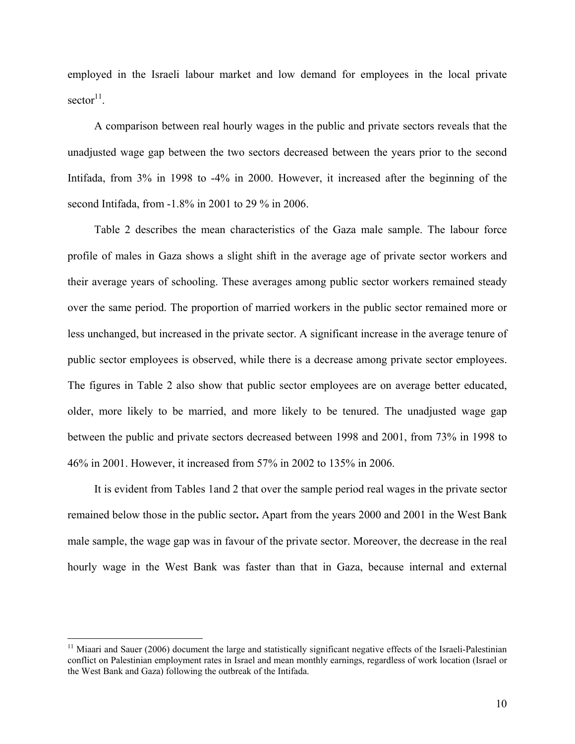employed in the Israeli labour market and low demand for employees in the local private  $sector<sup>11</sup>$ .

A comparison between real hourly wages in the public and private sectors reveals that the unadjusted wage gap between the two sectors decreased between the years prior to the second Intifada, from 3% in 1998 to -4% in 2000. However, it increased after the beginning of the second Intifada, from -1.8% in 2001 to 29 % in 2006.

Table 2 describes the mean characteristics of the Gaza male sample. The labour force profile of males in Gaza shows a slight shift in the average age of private sector workers and their average years of schooling. These averages among public sector workers remained steady over the same period. The proportion of married workers in the public sector remained more or less unchanged, but increased in the private sector. A significant increase in the average tenure of public sector employees is observed, while there is a decrease among private sector employees. The figures in Table 2 also show that public sector employees are on average better educated, older, more likely to be married, and more likely to be tenured. The unadjusted wage gap between the public and private sectors decreased between 1998 and 2001, from 73% in 1998 to 46% in 2001. However, it increased from 57% in 2002 to 135% in 2006.

It is evident from Tables 1and 2 that over the sample period real wages in the private sector remained below those in the public sector**.** Apart from the years 2000 and 2001 in the West Bank male sample, the wage gap was in favour of the private sector. Moreover, the decrease in the real hourly wage in the West Bank was faster than that in Gaza, because internal and external

 $\overline{a}$ 

 $11$  Miaari and Sauer (2006) document the large and statistically significant negative effects of the Israeli-Palestinian conflict on Palestinian employment rates in Israel and mean monthly earnings, regardless of work location (Israel or the West Bank and Gaza) following the outbreak of the Intifada.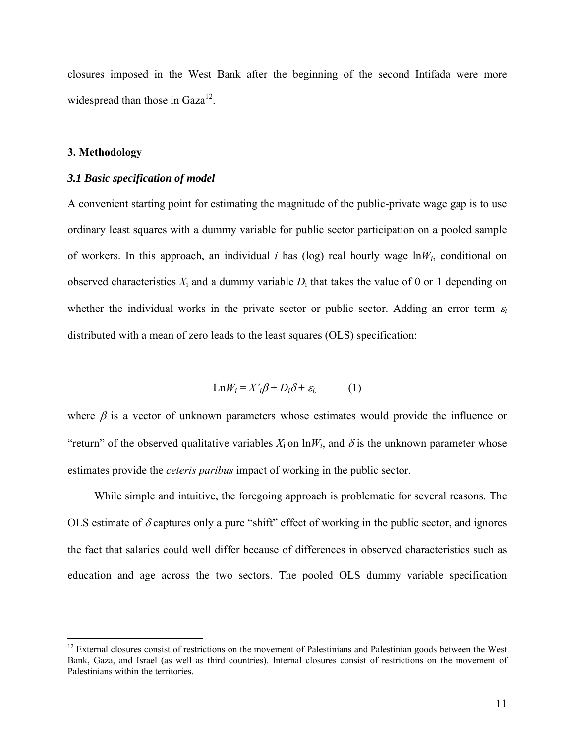closures imposed in the West Bank after the beginning of the second Intifada were more widespread than those in  $Gaza^{12}$ .

#### **3. Methodology**

 $\overline{a}$ 

#### *3.1 Basic specification of model*

A convenient starting point for estimating the magnitude of the public-private wage gap is to use ordinary least squares with a dummy variable for public sector participation on a pooled sample of workers. In this approach, an individual *i* has (log) real hourly wage  $\ln W_i$ , conditional on observed characteristics  $X_i$  and a dummy variable  $D_i$  that takes the value of 0 or 1 depending on whether the individual works in the private sector or public sector. Adding an error term  $\varepsilon_i$ distributed with a mean of zero leads to the least squares (OLS) specification:

$$
Ln W_i = X_i^2 \beta + D_i \delta + \varepsilon_{i}
$$
 (1)

where  $\beta$  is a vector of unknown parameters whose estimates would provide the influence or "return" of the observed qualitative variables  $X_i$  on  $\ln W_i$ , and  $\delta$  is the unknown parameter whose estimates provide the *ceteris paribus* impact of working in the public sector.

While simple and intuitive, the foregoing approach is problematic for several reasons. The OLS estimate of  $\delta$  captures only a pure "shift" effect of working in the public sector, and ignores the fact that salaries could well differ because of differences in observed characteristics such as education and age across the two sectors. The pooled OLS dummy variable specification

 $12$  External closures consist of restrictions on the movement of Palestinians and Palestinian goods between the West Bank, Gaza, and Israel (as well as third countries). Internal closures consist of restrictions on the movement of Palestinians within the territories.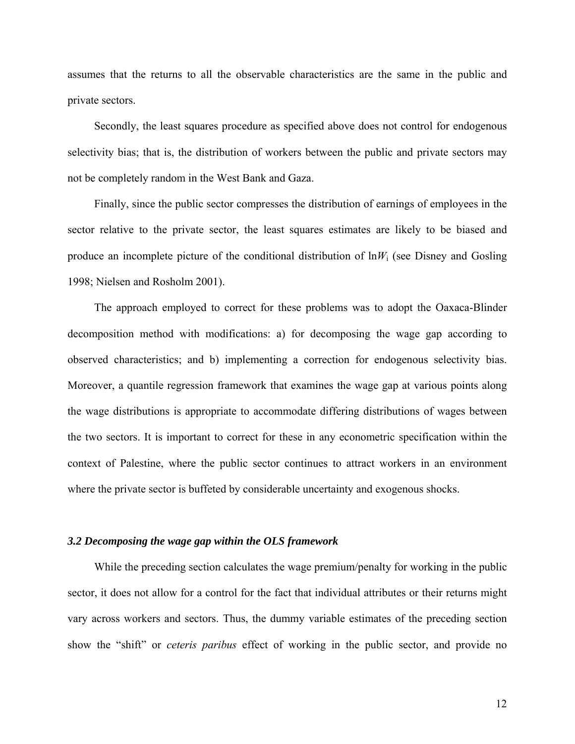assumes that the returns to all the observable characteristics are the same in the public and private sectors.

Secondly, the least squares procedure as specified above does not control for endogenous selectivity bias; that is, the distribution of workers between the public and private sectors may not be completely random in the West Bank and Gaza.

Finally, since the public sector compresses the distribution of earnings of employees in the sector relative to the private sector, the least squares estimates are likely to be biased and produce an incomplete picture of the conditional distribution of  $\ln W_i$  (see Disney and Gosling 1998; Nielsen and Rosholm 2001).

The approach employed to correct for these problems was to adopt the Oaxaca-Blinder decomposition method with modifications: a) for decomposing the wage gap according to observed characteristics; and b) implementing a correction for endogenous selectivity bias. Moreover, a quantile regression framework that examines the wage gap at various points along the wage distributions is appropriate to accommodate differing distributions of wages between the two sectors. It is important to correct for these in any econometric specification within the context of Palestine, where the public sector continues to attract workers in an environment where the private sector is buffeted by considerable uncertainty and exogenous shocks.

#### *3.2 Decomposing the wage gap within the OLS framework*

While the preceding section calculates the wage premium/penalty for working in the public sector, it does not allow for a control for the fact that individual attributes or their returns might vary across workers and sectors. Thus, the dummy variable estimates of the preceding section show the "shift" or *ceteris paribus* effect of working in the public sector, and provide no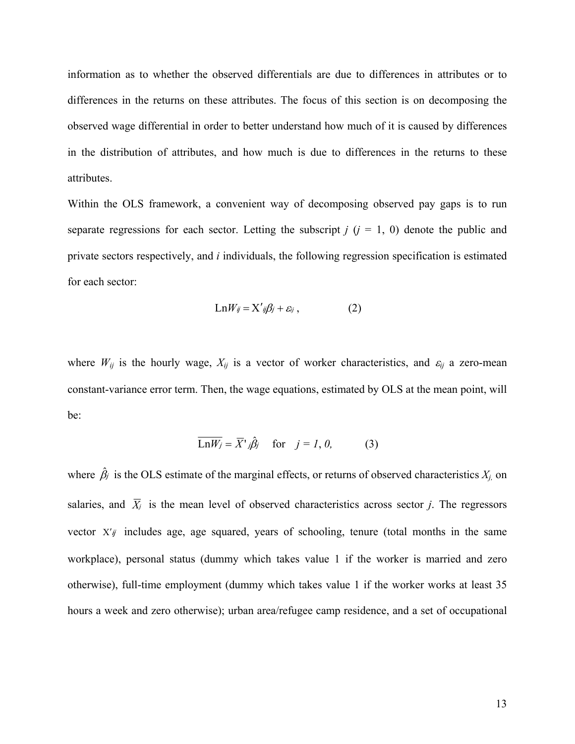information as to whether the observed differentials are due to differences in attributes or to differences in the returns on these attributes. The focus of this section is on decomposing the observed wage differential in order to better understand how much of it is caused by differences in the distribution of attributes, and how much is due to differences in the returns to these attributes.

Within the OLS framework, a convenient way of decomposing observed pay gaps is to run separate regressions for each sector. Letting the subscript  $j$  ( $j = 1, 0$ ) denote the public and private sectors respectively, and *i* individuals, the following regression specification is estimated for each sector:

$$
Ln W_{ij} = X'_{ij}\beta_j + \varepsilon_{ij}, \qquad (2)
$$

where  $W_{ij}$  is the hourly wage,  $X_{ij}$  is a vector of worker characteristics, and  $\varepsilon_{ij}$  a zero-mean constant-variance error term. Then, the wage equations, estimated by OLS at the mean point, will be:

$$
\overline{\text{Ln}W_j} = \overline{X}^{\prime}j\hat{\beta}_j \quad \text{for} \quad j = 1, 0, \tag{3}
$$

where  $\hat{\beta}_i$  is the OLS estimate of the marginal effects, or returns of observed characteristics  $X_{j}$ , on salaries, and  $\overline{X}_i$  is the mean level of observed characteristics across sector *j*. The regressors vector  $X'_{ij}$  includes age, age squared, years of schooling, tenure (total months in the same workplace), personal status (dummy which takes value 1 if the worker is married and zero otherwise), full-time employment (dummy which takes value 1 if the worker works at least 35 hours a week and zero otherwise); urban area/refugee camp residence, and a set of occupational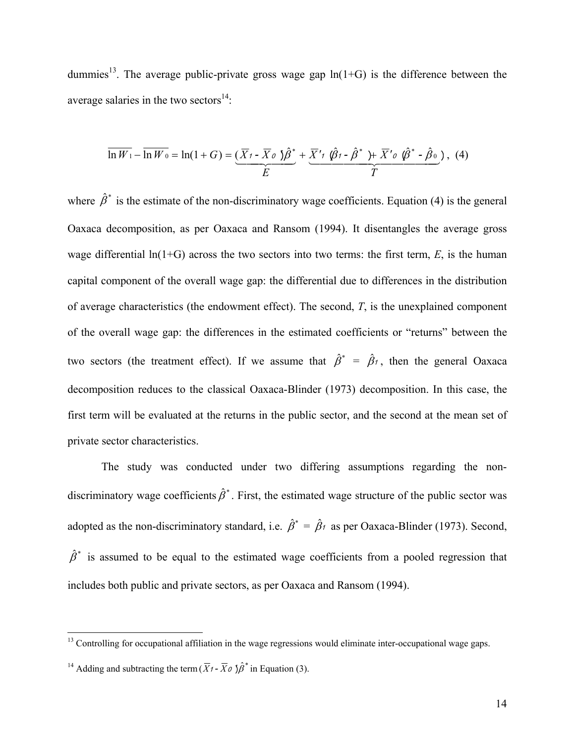dummies<sup>13</sup>. The average public-private gross wage gap  $ln(1+G)$  is the difference between the average salaries in the two sectors $^{14}$ :

$$
\overline{\ln W_1} - \overline{\ln W_0} = \ln(1+G) = \underbrace{(\overline{X}_1 - \overline{X}_0 \ \hat{S})^*}_{E} + \underbrace{\overline{X}'_1 \ \hat{\varnothing}_1 - \hat{\beta}^* \ \hat{S}^* \ \hat{\pi}^*_{0} \ \hat{\varnothing}^* - \hat{\beta}_0}{T}, \tag{4}
$$

where  $\hat{\beta}^*$  is the estimate of the non-discriminatory wage coefficients. Equation (4) is the general Oaxaca decomposition, as per Oaxaca and Ransom (1994). It disentangles the average gross wage differential ln(1+G) across the two sectors into two terms: the first term, *E*, is the human capital component of the overall wage gap: the differential due to differences in the distribution of average characteristics (the endowment effect). The second, *T*, is the unexplained component of the overall wage gap: the differences in the estimated coefficients or "returns" between the two sectors (the treatment effect). If we assume that  $\hat{\beta}^* = \hat{\beta}_1$ , then the general Oaxaca decomposition reduces to the classical Oaxaca-Blinder (1973) decomposition. In this case, the first term will be evaluated at the returns in the public sector, and the second at the mean set of private sector characteristics.

The study was conducted under two differing assumptions regarding the nondiscriminatory wage coefficients  $\hat{\beta}^*$ . First, the estimated wage structure of the public sector was adopted as the non-discriminatory standard, i.e.  $\hat{\beta}^* = \hat{\beta}_1$  as per Oaxaca-Blinder (1973). Second,  $\hat{\beta}^*$  is assumed to be equal to the estimated wage coefficients from a pooled regression that includes both public and private sectors, as per Oaxaca and Ransom (1994).

1

<sup>&</sup>lt;sup>13</sup> Controlling for occupational affiliation in the wage regressions would eliminate inter-occupational wage gaps.

<sup>&</sup>lt;sup>14</sup> Adding and subtracting the term  $(\overline{X}t - \overline{X}\omega)\hat{\beta}^*$  in Equation (3).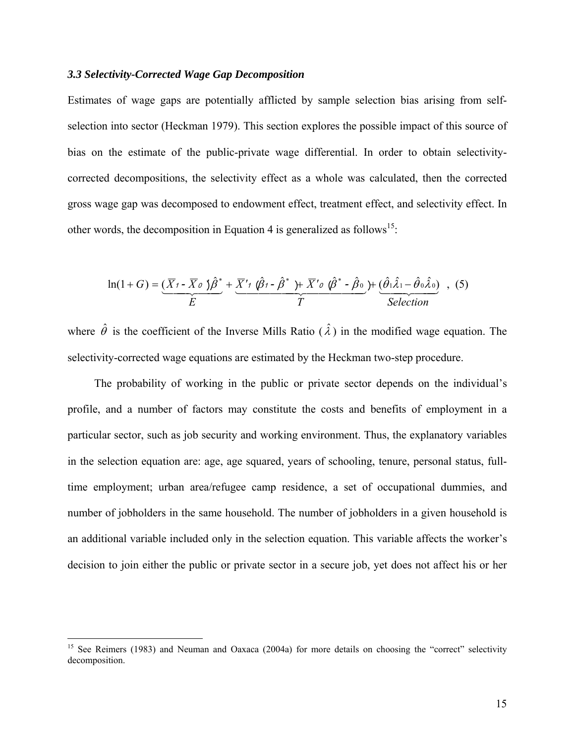#### *3.3 Selectivity-Corrected Wage Gap Decomposition*

Estimates of wage gaps are potentially afflicted by sample selection bias arising from selfselection into sector (Heckman 1979). This section explores the possible impact of this source of bias on the estimate of the public-private wage differential. In order to obtain selectivitycorrected decompositions, the selectivity effect as a whole was calculated, then the corrected gross wage gap was decomposed to endowment effect, treatment effect, and selectivity effect. In other words, the decomposition in Equation 4 is generalized as follows<sup>15</sup>:

$$
\ln(1+G) = \underbrace{(\overline{X}_{1} - \overline{X}_{0})\hat{\beta}^{*}}_{E} + \underbrace{\overline{X}'_{1} \hat{\beta}_{1} - \hat{\beta}^{*}}_{T} + \overline{X}'_{0} \hat{\beta}^{*} - \hat{\beta}_{0}}_{P} + \underbrace{(\hat{\theta}_{1}\hat{\lambda}_{1} - \hat{\theta}_{0}\hat{\lambda}_{0})}_{Selection}, (5)
$$

where  $\hat{\theta}$  is the coefficient of the Inverse Mills Ratio  $(\hat{\lambda})$  in the modified wage equation. The selectivity-corrected wage equations are estimated by the Heckman two-step procedure.

The probability of working in the public or private sector depends on the individual's profile, and a number of factors may constitute the costs and benefits of employment in a particular sector, such as job security and working environment. Thus, the explanatory variables in the selection equation are: age, age squared, years of schooling, tenure, personal status, fulltime employment; urban area/refugee camp residence, a set of occupational dummies, and number of jobholders in the same household. The number of jobholders in a given household is an additional variable included only in the selection equation. This variable affects the worker's decision to join either the public or private sector in a secure job, yet does not affect his or her

1

<sup>&</sup>lt;sup>15</sup> See Reimers (1983) and Neuman and Oaxaca (2004a) for more details on choosing the "correct" selectivity decomposition.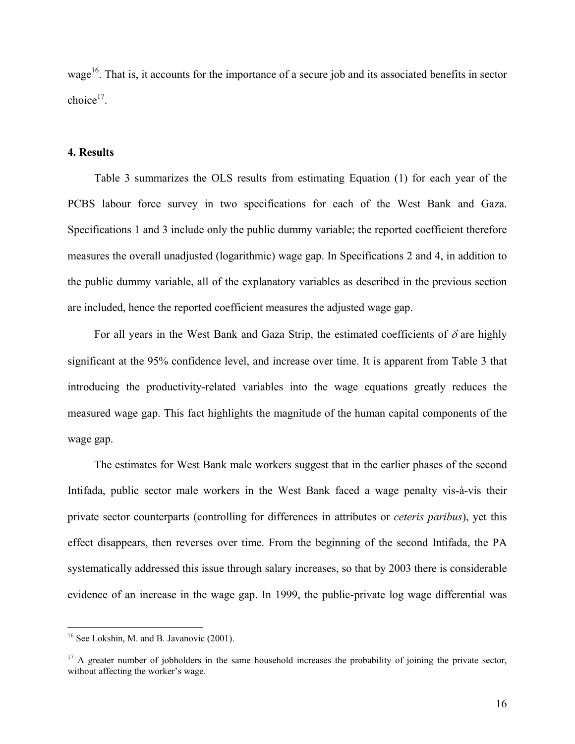wage<sup>16</sup>. That is, it accounts for the importance of a secure job and its associated benefits in sector choice $17$ .

#### **4. Results**

Table 3 summarizes the OLS results from estimating Equation (1) for each year of the PCBS labour force survey in two specifications for each of the West Bank and Gaza. Specifications 1 and 3 include only the public dummy variable; the reported coefficient therefore measures the overall unadjusted (logarithmic) wage gap. In Specifications 2 and 4, in addition to the public dummy variable, all of the explanatory variables as described in the previous section are included, hence the reported coefficient measures the adjusted wage gap.

For all years in the West Bank and Gaza Strip, the estimated coefficients of  $\delta$  are highly significant at the 95% confidence level, and increase over time. It is apparent from Table 3 that introducing the productivity-related variables into the wage equations greatly reduces the measured wage gap. This fact highlights the magnitude of the human capital components of the wage gap.

The estimates for West Bank male workers suggest that in the earlier phases of the second Intifada, public sector male workers in the West Bank faced a wage penalty vis-à-vis their private sector counterparts (controlling for differences in attributes or *ceteris paribus*), yet this effect disappears, then reverses over time. From the beginning of the second Intifada, the PA systematically addressed this issue through salary increases, so that by 2003 there is considerable evidence of an increase in the wage gap. In 1999, the public-private log wage differential was

<u>.</u>

<sup>&</sup>lt;sup>16</sup> See Lokshin, M. and B. Javanovic (2001).

<sup>&</sup>lt;sup>17</sup> A greater number of jobholders in the same household increases the probability of joining the private sector, without affecting the worker's wage.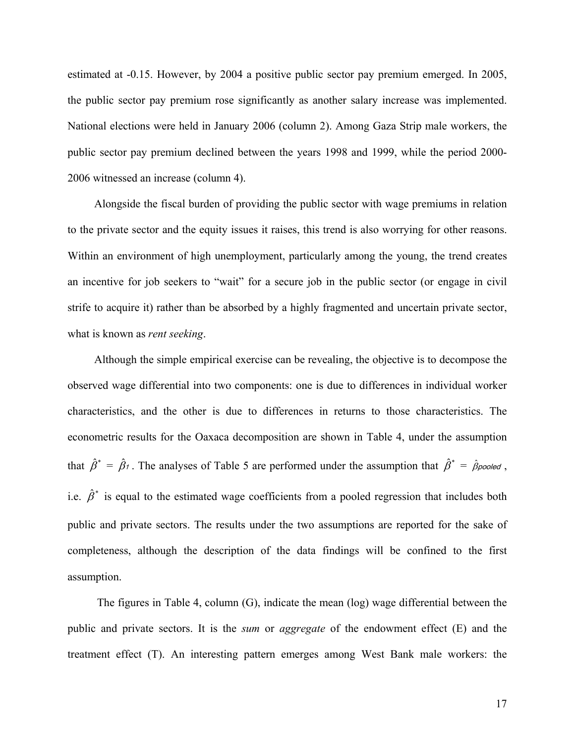estimated at -0.15. However, by 2004 a positive public sector pay premium emerged. In 2005, the public sector pay premium rose significantly as another salary increase was implemented. National elections were held in January 2006 (column 2). Among Gaza Strip male workers, the public sector pay premium declined between the years 1998 and 1999, while the period 2000- 2006 witnessed an increase (column 4).

Alongside the fiscal burden of providing the public sector with wage premiums in relation to the private sector and the equity issues it raises, this trend is also worrying for other reasons. Within an environment of high unemployment, particularly among the young, the trend creates an incentive for job seekers to "wait" for a secure job in the public sector (or engage in civil strife to acquire it) rather than be absorbed by a highly fragmented and uncertain private sector, what is known as *rent seeking*.

Although the simple empirical exercise can be revealing, the objective is to decompose the observed wage differential into two components: one is due to differences in individual worker characteristics, and the other is due to differences in returns to those characteristics. The econometric results for the Oaxaca decomposition are shown in Table 4, under the assumption that  $\hat{\beta}^* = \hat{\beta}_1$ . The analyses of Table 5 are performed under the assumption that  $\hat{\beta}^* = \hat{\beta}_{pooled}$ , i.e.  $\hat{\beta}^*$  is equal to the estimated wage coefficients from a pooled regression that includes both public and private sectors. The results under the two assumptions are reported for the sake of completeness, although the description of the data findings will be confined to the first assumption.

 The figures in Table 4, column (G), indicate the mean (log) wage differential between the public and private sectors. It is the *sum* or *aggregate* of the endowment effect (E) and the treatment effect (T). An interesting pattern emerges among West Bank male workers: the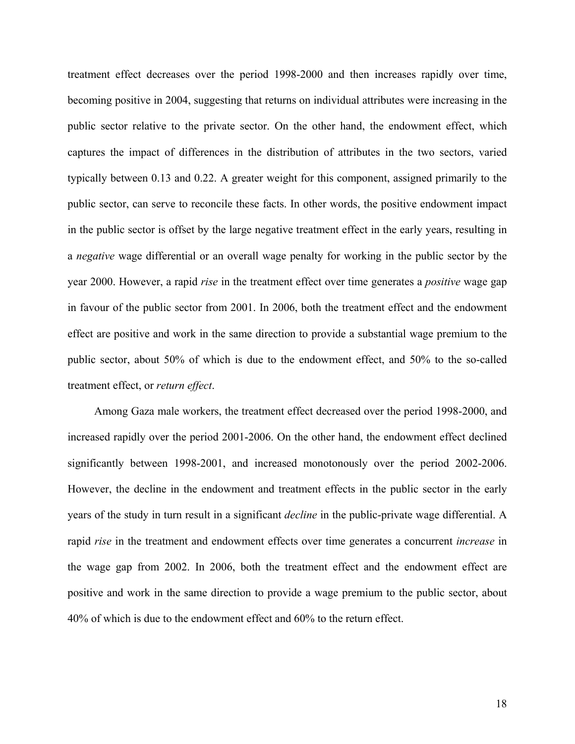treatment effect decreases over the period 1998-2000 and then increases rapidly over time, becoming positive in 2004, suggesting that returns on individual attributes were increasing in the public sector relative to the private sector. On the other hand, the endowment effect, which captures the impact of differences in the distribution of attributes in the two sectors, varied typically between 0.13 and 0.22. A greater weight for this component, assigned primarily to the public sector, can serve to reconcile these facts. In other words, the positive endowment impact in the public sector is offset by the large negative treatment effect in the early years, resulting in a *negative* wage differential or an overall wage penalty for working in the public sector by the year 2000. However, a rapid *rise* in the treatment effect over time generates a *positive* wage gap in favour of the public sector from 2001. In 2006, both the treatment effect and the endowment effect are positive and work in the same direction to provide a substantial wage premium to the public sector, about 50% of which is due to the endowment effect, and 50% to the so-called treatment effect, or *return effect*.

Among Gaza male workers, the treatment effect decreased over the period 1998-2000, and increased rapidly over the period 2001-2006. On the other hand, the endowment effect declined significantly between 1998-2001, and increased monotonously over the period 2002-2006. However, the decline in the endowment and treatment effects in the public sector in the early years of the study in turn result in a significant *decline* in the public-private wage differential. A rapid *rise* in the treatment and endowment effects over time generates a concurrent *increase* in the wage gap from 2002. In 2006, both the treatment effect and the endowment effect are positive and work in the same direction to provide a wage premium to the public sector, about 40% of which is due to the endowment effect and 60% to the return effect.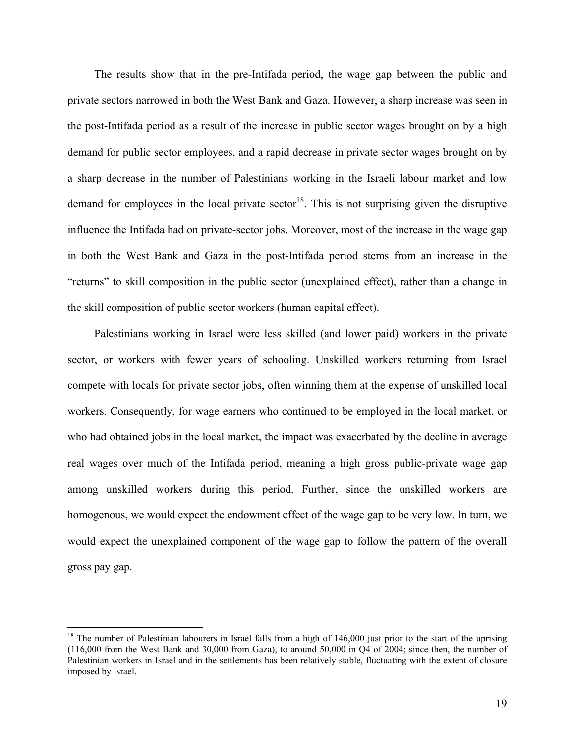The results show that in the pre-Intifada period, the wage gap between the public and private sectors narrowed in both the West Bank and Gaza. However, a sharp increase was seen in the post-Intifada period as a result of the increase in public sector wages brought on by a high demand for public sector employees, and a rapid decrease in private sector wages brought on by a sharp decrease in the number of Palestinians working in the Israeli labour market and low demand for employees in the local private sector<sup>18</sup>. This is not surprising given the disruptive influence the Intifada had on private-sector jobs. Moreover, most of the increase in the wage gap in both the West Bank and Gaza in the post-Intifada period stems from an increase in the "returns" to skill composition in the public sector (unexplained effect), rather than a change in the skill composition of public sector workers (human capital effect).

Palestinians working in Israel were less skilled (and lower paid) workers in the private sector, or workers with fewer years of schooling. Unskilled workers returning from Israel compete with locals for private sector jobs, often winning them at the expense of unskilled local workers. Consequently, for wage earners who continued to be employed in the local market, or who had obtained jobs in the local market, the impact was exacerbated by the decline in average real wages over much of the Intifada period, meaning a high gross public-private wage gap among unskilled workers during this period. Further, since the unskilled workers are homogenous, we would expect the endowment effect of the wage gap to be very low. In turn, we would expect the unexplained component of the wage gap to follow the pattern of the overall gross pay gap.

 $\overline{a}$ 

<sup>&</sup>lt;sup>18</sup> The number of Palestinian labourers in Israel falls from a high of  $146,000$  just prior to the start of the uprising (116,000 from the West Bank and 30,000 from Gaza), to around 50,000 in Q4 of 2004; since then, the number of Palestinian workers in Israel and in the settlements has been relatively stable, fluctuating with the extent of closure imposed by Israel.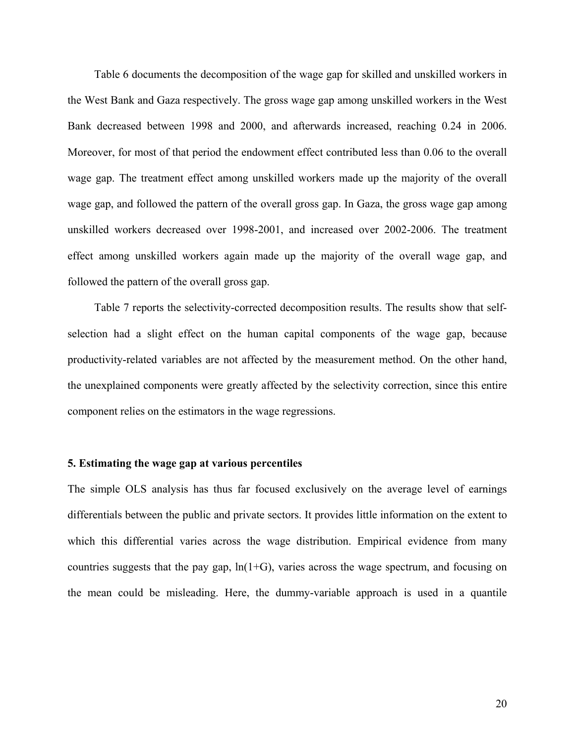Table 6 documents the decomposition of the wage gap for skilled and unskilled workers in the West Bank and Gaza respectively. The gross wage gap among unskilled workers in the West Bank decreased between 1998 and 2000, and afterwards increased, reaching 0.24 in 2006. Moreover, for most of that period the endowment effect contributed less than 0.06 to the overall wage gap. The treatment effect among unskilled workers made up the majority of the overall wage gap, and followed the pattern of the overall gross gap. In Gaza, the gross wage gap among unskilled workers decreased over 1998-2001, and increased over 2002-2006. The treatment effect among unskilled workers again made up the majority of the overall wage gap, and followed the pattern of the overall gross gap.

Table 7 reports the selectivity-corrected decomposition results. The results show that selfselection had a slight effect on the human capital components of the wage gap, because productivity-related variables are not affected by the measurement method. On the other hand, the unexplained components were greatly affected by the selectivity correction, since this entire component relies on the estimators in the wage regressions.

#### **5. Estimating the wage gap at various percentiles**

The simple OLS analysis has thus far focused exclusively on the average level of earnings differentials between the public and private sectors. It provides little information on the extent to which this differential varies across the wage distribution. Empirical evidence from many countries suggests that the pay gap,  $ln(1+G)$ , varies across the wage spectrum, and focusing on the mean could be misleading. Here, the dummy-variable approach is used in a quantile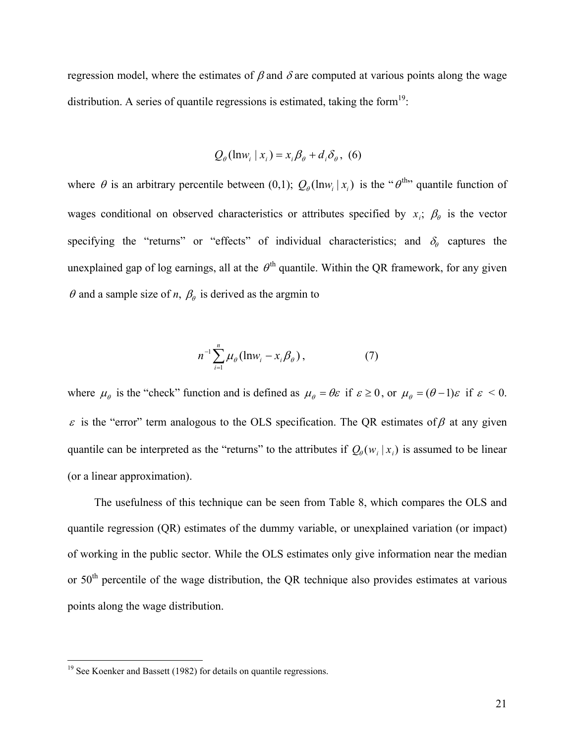regression model, where the estimates of  $\beta$  and  $\delta$  are computed at various points along the wage distribution. A series of quantile regressions is estimated, taking the form<sup>19</sup>:

$$
Q_{\theta}(\ln w_i \mid x_i) = x_i \beta_{\theta} + d_i \delta_{\theta}, \tag{6}
$$

where  $\theta$  is an arbitrary percentile between (0,1);  $Q_{\theta}(\ln w_i | x_i)$  is the " $\theta^{\text{th}}$ " quantile function of wages conditional on observed characteristics or attributes specified by  $x_i$ ;  $\beta_\theta$  is the vector specifying the "returns" or "effects" of individual characteristics; and  $\delta_{\theta}$  captures the unexplained gap of log earnings, all at the  $\theta^{\text{th}}$  quantile. Within the QR framework, for any given  $\theta$  and a sample size of *n*,  $\beta_\theta$  is derived as the argmin to

$$
n^{-1} \sum_{i=1}^{n} \mu_{\theta} (\ln w_{i} - x_{i} \beta_{\theta}), \qquad (7)
$$

where  $\mu_{\theta}$  is the "check" function and is defined as  $\mu_{\theta} = \theta \varepsilon$  if  $\varepsilon \ge 0$ , or  $\mu_{\theta} = (\theta - 1)\varepsilon$  if  $\varepsilon < 0$ .  $ε$  is the "error" term analogous to the OLS specification. The QR estimates of  $β$  at any given quantile can be interpreted as the "returns" to the attributes if  $Q_{\theta}(w_i | x_i)$  is assumed to be linear (or a linear approximation).

The usefulness of this technique can be seen from Table 8, which compares the OLS and quantile regression (QR) estimates of the dummy variable, or unexplained variation (or impact) of working in the public sector. While the OLS estimates only give information near the median or 50<sup>th</sup> percentile of the wage distribution, the QR technique also provides estimates at various points along the wage distribution.

 $\overline{a}$ 

 $19$  See Koenker and Bassett (1982) for details on quantile regressions.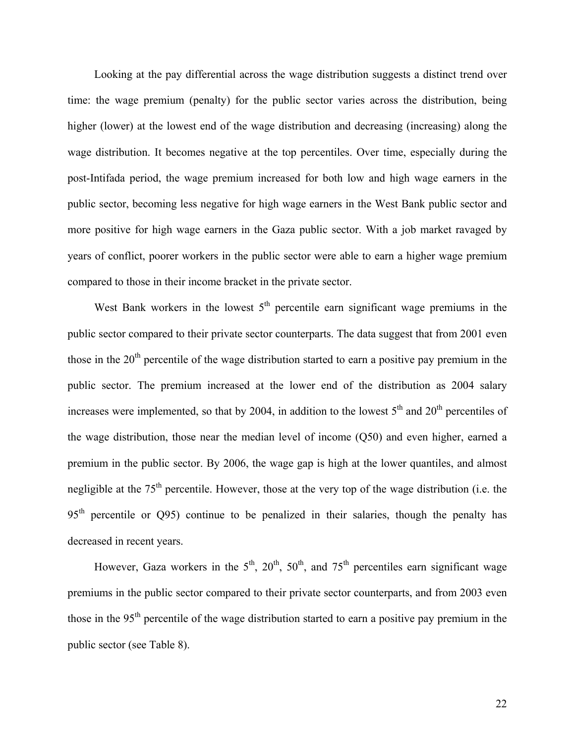Looking at the pay differential across the wage distribution suggests a distinct trend over time: the wage premium (penalty) for the public sector varies across the distribution, being higher (lower) at the lowest end of the wage distribution and decreasing (increasing) along the wage distribution. It becomes negative at the top percentiles. Over time, especially during the post-Intifada period, the wage premium increased for both low and high wage earners in the public sector, becoming less negative for high wage earners in the West Bank public sector and more positive for high wage earners in the Gaza public sector. With a job market ravaged by years of conflict, poorer workers in the public sector were able to earn a higher wage premium compared to those in their income bracket in the private sector.

West Bank workers in the lowest  $5<sup>th</sup>$  percentile earn significant wage premiums in the public sector compared to their private sector counterparts. The data suggest that from 2001 even those in the  $20<sup>th</sup>$  percentile of the wage distribution started to earn a positive pay premium in the public sector. The premium increased at the lower end of the distribution as 2004 salary increases were implemented, so that by 2004, in addition to the lowest  $5<sup>th</sup>$  and  $20<sup>th</sup>$  percentiles of the wage distribution, those near the median level of income (Q50) and even higher, earned a premium in the public sector. By 2006, the wage gap is high at the lower quantiles, and almost negligible at the  $75<sup>th</sup>$  percentile. However, those at the very top of the wage distribution (i.e. the 95<sup>th</sup> percentile or Q95) continue to be penalized in their salaries, though the penalty has decreased in recent years.

However, Gaza workers in the  $5<sup>th</sup>$ ,  $20<sup>th</sup>$ ,  $50<sup>th</sup>$ , and  $75<sup>th</sup>$  percentiles earn significant wage premiums in the public sector compared to their private sector counterparts, and from 2003 even those in the 95<sup>th</sup> percentile of the wage distribution started to earn a positive pay premium in the public sector (see Table 8).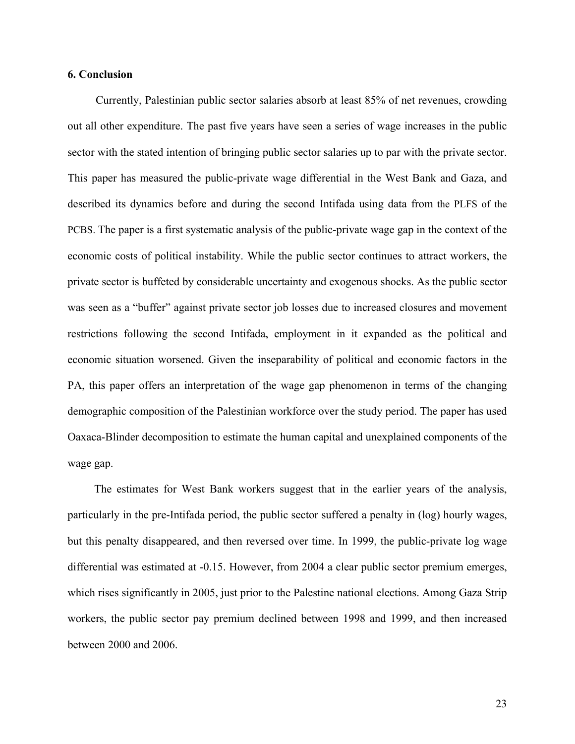#### **6. Conclusion**

Currently, Palestinian public sector salaries absorb at least 85% of net revenues, crowding out all other expenditure. The past five years have seen a series of wage increases in the public sector with the stated intention of bringing public sector salaries up to par with the private sector. This paper has measured the public-private wage differential in the West Bank and Gaza, and described its dynamics before and during the second Intifada using data from the PLFS of the PCBS. The paper is a first systematic analysis of the public-private wage gap in the context of the economic costs of political instability. While the public sector continues to attract workers, the private sector is buffeted by considerable uncertainty and exogenous shocks. As the public sector was seen as a "buffer" against private sector job losses due to increased closures and movement restrictions following the second Intifada, employment in it expanded as the political and economic situation worsened. Given the inseparability of political and economic factors in the PA, this paper offers an interpretation of the wage gap phenomenon in terms of the changing demographic composition of the Palestinian workforce over the study period. The paper has used Oaxaca-Blinder decomposition to estimate the human capital and unexplained components of the wage gap.

The estimates for West Bank workers suggest that in the earlier years of the analysis, particularly in the pre-Intifada period, the public sector suffered a penalty in (log) hourly wages, but this penalty disappeared, and then reversed over time. In 1999, the public-private log wage differential was estimated at -0.15. However, from 2004 a clear public sector premium emerges, which rises significantly in 2005, just prior to the Palestine national elections. Among Gaza Strip workers, the public sector pay premium declined between 1998 and 1999, and then increased between 2000 and 2006.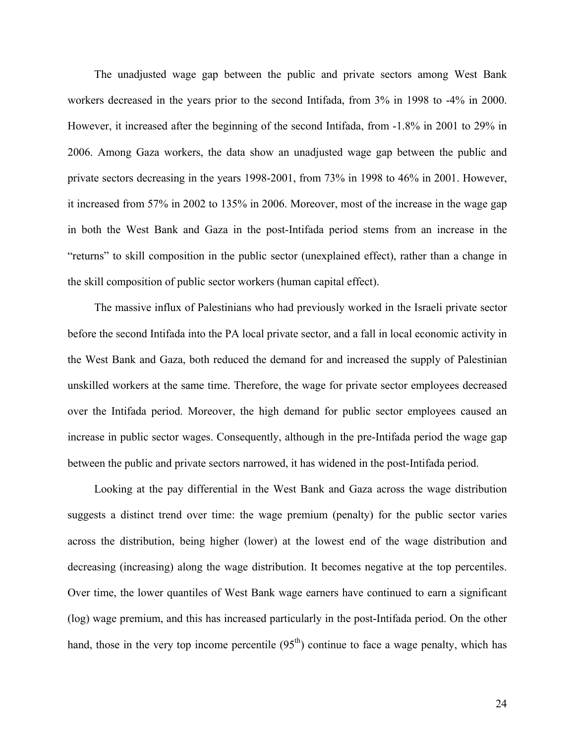The unadjusted wage gap between the public and private sectors among West Bank workers decreased in the years prior to the second Intifada, from 3% in 1998 to -4% in 2000. However, it increased after the beginning of the second Intifada, from -1.8% in 2001 to 29% in 2006. Among Gaza workers, the data show an unadjusted wage gap between the public and private sectors decreasing in the years 1998-2001, from 73% in 1998 to 46% in 2001. However, it increased from 57% in 2002 to 135% in 2006. Moreover, most of the increase in the wage gap in both the West Bank and Gaza in the post-Intifada period stems from an increase in the "returns" to skill composition in the public sector (unexplained effect), rather than a change in the skill composition of public sector workers (human capital effect).

The massive influx of Palestinians who had previously worked in the Israeli private sector before the second Intifada into the PA local private sector, and a fall in local economic activity in the West Bank and Gaza, both reduced the demand for and increased the supply of Palestinian unskilled workers at the same time. Therefore, the wage for private sector employees decreased over the Intifada period. Moreover, the high demand for public sector employees caused an increase in public sector wages. Consequently, although in the pre-Intifada period the wage gap between the public and private sectors narrowed, it has widened in the post-Intifada period.

Looking at the pay differential in the West Bank and Gaza across the wage distribution suggests a distinct trend over time: the wage premium (penalty) for the public sector varies across the distribution, being higher (lower) at the lowest end of the wage distribution and decreasing (increasing) along the wage distribution. It becomes negative at the top percentiles. Over time, the lower quantiles of West Bank wage earners have continued to earn a significant (log) wage premium, and this has increased particularly in the post-Intifada period. On the other hand, those in the very top income percentile  $(95<sup>th</sup>)$  continue to face a wage penalty, which has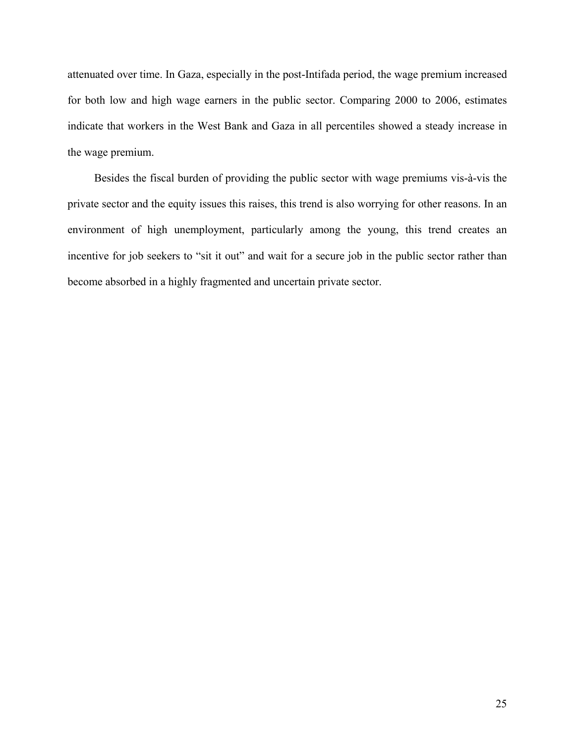attenuated over time. In Gaza, especially in the post-Intifada period, the wage premium increased for both low and high wage earners in the public sector. Comparing 2000 to 2006, estimates indicate that workers in the West Bank and Gaza in all percentiles showed a steady increase in the wage premium.

Besides the fiscal burden of providing the public sector with wage premiums vis-à-vis the private sector and the equity issues this raises, this trend is also worrying for other reasons. In an environment of high unemployment, particularly among the young, this trend creates an incentive for job seekers to "sit it out" and wait for a secure job in the public sector rather than become absorbed in a highly fragmented and uncertain private sector.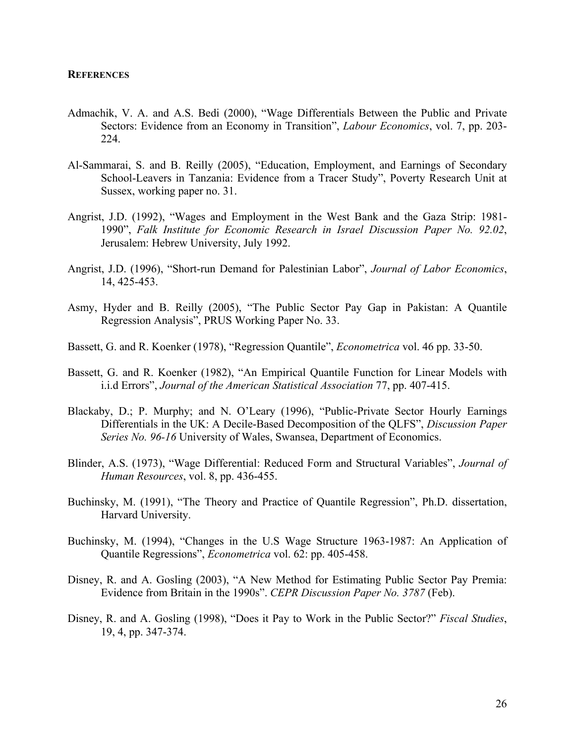#### **REFERENCES**

- Admachik, V. A. and A.S. Bedi (2000), "Wage Differentials Between the Public and Private Sectors: Evidence from an Economy in Transition", *Labour Economics*, vol. 7, pp. 203- 224.
- Al-Sammarai, S. and B. Reilly (2005), "Education, Employment, and Earnings of Secondary School-Leavers in Tanzania: Evidence from a Tracer Study", Poverty Research Unit at Sussex, working paper no. 31.
- Angrist, J.D. (1992), "Wages and Employment in the West Bank and the Gaza Strip: 1981- 1990", *Falk Institute for Economic Research in Israel Discussion Paper No. 92.02*, Jerusalem: Hebrew University, July 1992.
- Angrist, J.D. (1996), "Short-run Demand for Palestinian Labor", *Journal of Labor Economics*, 14, 425-453.
- Asmy, Hyder and B. Reilly (2005), "The Public Sector Pay Gap in Pakistan: A Quantile Regression Analysis", PRUS Working Paper No. 33.
- Bassett, G. and R. Koenker (1978), "Regression Quantile", *Econometrica* vol. 46 pp. 33-50.
- Bassett, G. and R. Koenker (1982), "An Empirical Quantile Function for Linear Models with i.i.d Errors", *Journal of the American Statistical Association* 77, pp. 407-415.
- Blackaby, D.; P. Murphy; and N. O'Leary (1996), "Public-Private Sector Hourly Earnings Differentials in the UK: A Decile-Based Decomposition of the QLFS", *Discussion Paper Series No. 96-16* University of Wales, Swansea, Department of Economics.
- Blinder, A.S. (1973), "Wage Differential: Reduced Form and Structural Variables", *Journal of Human Resources*, vol. 8, pp. 436-455.
- Buchinsky, M. (1991), "The Theory and Practice of Quantile Regression", Ph.D. dissertation, Harvard University.
- Buchinsky, M. (1994), "Changes in the U.S Wage Structure 1963-1987: An Application of Quantile Regressions", *Econometrica* vol. 62: pp. 405-458.
- Disney, R. and A. Gosling (2003), "A New Method for Estimating Public Sector Pay Premia: Evidence from Britain in the 1990s". *CEPR Discussion Paper No. 3787* (Feb).
- Disney, R. and A. Gosling (1998), "Does it Pay to Work in the Public Sector?" *Fiscal Studies*, 19, 4, pp. 347-374.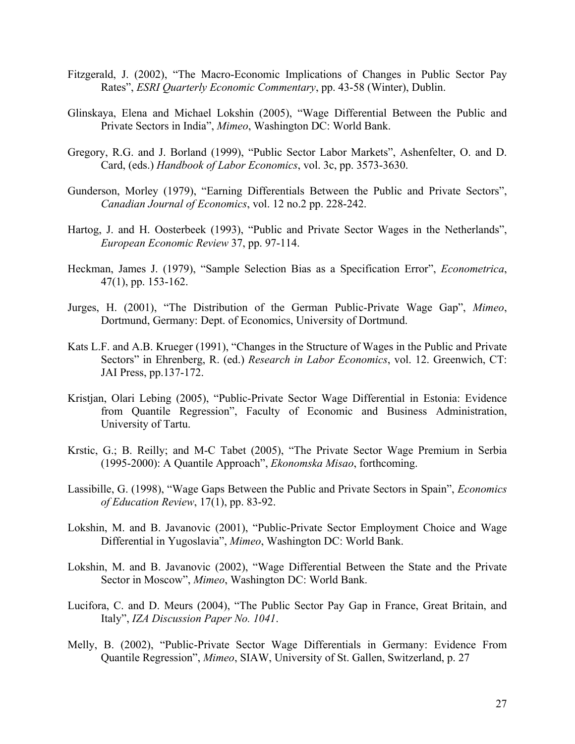- Fitzgerald, J. (2002), "The Macro-Economic Implications of Changes in Public Sector Pay Rates", *ESRI Quarterly Economic Commentary*, pp. 43-58 (Winter), Dublin.
- Glinskaya, Elena and Michael Lokshin (2005), "Wage Differential Between the Public and Private Sectors in India", *Mimeo*, Washington DC: World Bank.
- Gregory, R.G. and J. Borland (1999), "Public Sector Labor Markets", Ashenfelter, O. and D. Card, (eds.) *Handbook of Labor Economics*, vol. 3c, pp. 3573-3630.
- Gunderson, Morley (1979), "Earning Differentials Between the Public and Private Sectors", *Canadian Journal of Economics*, vol. 12 no.2 pp. 228-242.
- Hartog, J. and H. Oosterbeek (1993), "Public and Private Sector Wages in the Netherlands", *European Economic Review* 37, pp. 97-114.
- Heckman, James J. (1979), "Sample Selection Bias as a Specification Error", *Econometrica*, 47(1), pp. 153-162.
- Jurges, H. (2001), "The Distribution of the German Public-Private Wage Gap", *Mimeo*, Dortmund, Germany: Dept. of Economics, University of Dortmund.
- Kats L.F. and A.B. Krueger (1991), "Changes in the Structure of Wages in the Public and Private Sectors" in Ehrenberg, R. (ed.) *Research in Labor Economics*, vol. 12. Greenwich, CT: JAI Press, pp.137-172.
- Kristjan, Olari Lebing (2005), "Public-Private Sector Wage Differential in Estonia: Evidence from Quantile Regression", Faculty of Economic and Business Administration, University of Tartu.
- Krstic, G.; B. Reilly; and M-C Tabet (2005), "The Private Sector Wage Premium in Serbia (1995-2000): A Quantile Approach", *Ekonomska Misao*, forthcoming.
- Lassibille, G. (1998), "Wage Gaps Between the Public and Private Sectors in Spain", *Economics of Education Review*, 17(1), pp. 83-92.
- Lokshin, M. and B. Javanovic (2001), "Public-Private Sector Employment Choice and Wage Differential in Yugoslavia", *Mimeo*, Washington DC: World Bank.
- Lokshin, M. and B. Javanovic (2002), "Wage Differential Between the State and the Private Sector in Moscow", *Mimeo*, Washington DC: World Bank.
- Lucifora, C. and D. Meurs (2004), "The Public Sector Pay Gap in France, Great Britain, and Italy", *IZA Discussion Paper No. 1041*.
- Melly, B. (2002), "Public-Private Sector Wage Differentials in Germany: Evidence From Quantile Regression", *Mimeo*, SIAW, University of St. Gallen, Switzerland, p. 27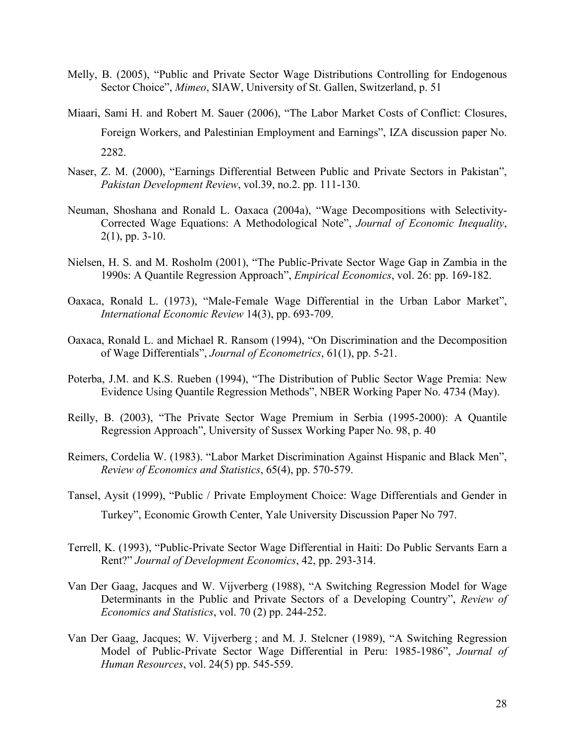- Melly, B. (2005), "Public and Private Sector Wage Distributions Controlling for Endogenous Sector Choice", *Mimeo*, SIAW, University of St. Gallen, Switzerland, p. 51
- Miaari, Sami H. and Robert M. Sauer (2006), "The Labor Market Costs of Conflict: Closures, Foreign Workers, and Palestinian Employment and Earnings", IZA discussion paper No. 2282.
- Naser, Z. M. (2000), "Earnings Differential Between Public and Private Sectors in Pakistan", *Pakistan Development Review*, vol.39, no.2. pp. 111-130.
- Neuman, Shoshana and Ronald L. Oaxaca (2004a), "Wage Decompositions with Selectivity-Corrected Wage Equations: A Methodological Note", *Journal of Economic Inequality*,  $2(1)$ , pp. 3-10.
- Nielsen, H. S. and M. Rosholm (2001), "The Public-Private Sector Wage Gap in Zambia in the 1990s: A Quantile Regression Approach", *Empirical Economics*, vol. 26: pp. 169-182.
- Oaxaca, Ronald L. (1973), "Male-Female Wage Differential in the Urban Labor Market", *International Economic Review* 14(3), pp. 693-709.
- Oaxaca, Ronald L. and Michael R. Ransom (1994), "On Discrimination and the Decomposition of Wage Differentials", *Journal of Econometrics*, 61(1), pp. 5-21.
- Poterba, J.M. and K.S. Rueben (1994), "The Distribution of Public Sector Wage Premia: New Evidence Using Quantile Regression Methods", NBER Working Paper No. 4734 (May).
- Reilly, B. (2003), "The Private Sector Wage Premium in Serbia (1995-2000): A Quantile Regression Approach", University of Sussex Working Paper No. 98, p. 40
- Reimers, Cordelia W. (1983). "Labor Market Discrimination Against Hispanic and Black Men", *Review of Economics and Statistics*, 65(4), pp. 570-579.
- Tansel, Aysit (1999), "Public / Private Employment Choice: Wage Differentials and Gender in Turkey", Economic Growth Center, Yale University Discussion Paper No 797.
- Terrell, K. (1993), "Public-Private Sector Wage Differential in Haiti: Do Public Servants Earn a Rent?" *Journal of Development Economics*, 42, pp. 293-314.
- Van Der Gaag, Jacques and W. Vijverberg (1988), "A Switching Regression Model for Wage Determinants in the Public and Private Sectors of a Developing Country", *Review of Economics and Statistics*, vol. 70 (2) pp. 244-252.
- Van Der Gaag, Jacques; W. Vijverberg ; and M. J. Stelcner (1989), "A Switching Regression Model of Public-Private Sector Wage Differential in Peru: 1985-1986", *Journal of Human Resources*, vol. 24(5) pp. 545-559.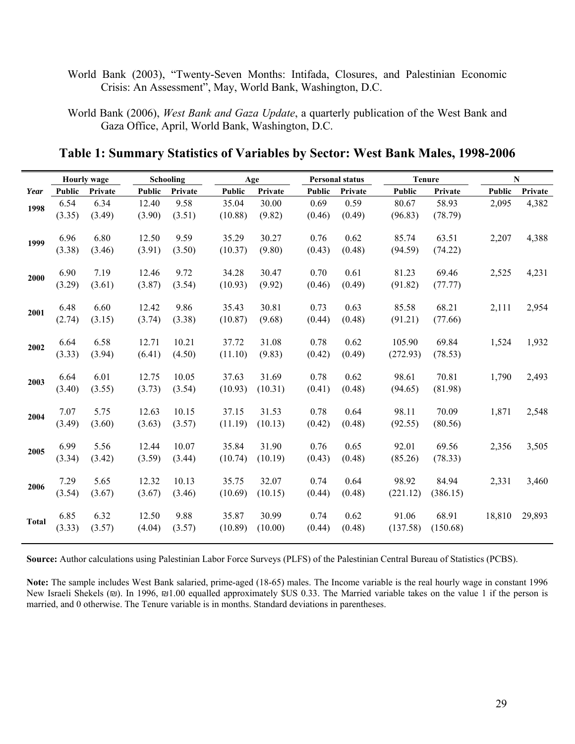- World Bank (2003), "Twenty-Seven Months: Intifada, Closures, and Palestinian Economic Crisis: An Assessment", May, World Bank, Washington, D.C.
- World Bank (2006), *West Bank and Gaza Update*, a quarterly publication of the West Bank and Gaza Office, April, World Bank, Washington, D.C.

# **Table 1: Summary Statistics of Variables by Sector: West Bank Males, 1998-2006**

| Public<br>2,095<br>2,207 | Private<br>4,382                                             |
|--------------------------|--------------------------------------------------------------|
|                          |                                                              |
|                          |                                                              |
|                          |                                                              |
|                          | 4,388                                                        |
|                          |                                                              |
|                          | 4,231                                                        |
|                          |                                                              |
|                          | 2,954                                                        |
|                          |                                                              |
|                          | 1,932                                                        |
|                          |                                                              |
|                          | 2,493                                                        |
|                          |                                                              |
| 1,871                    | 2,548                                                        |
|                          |                                                              |
|                          | 3,505                                                        |
|                          |                                                              |
|                          | 3,460                                                        |
|                          |                                                              |
|                          | 29,893                                                       |
|                          |                                                              |
|                          | 2,525<br>2,111<br>1,524<br>1,790<br>2,356<br>2,331<br>18,810 |

**Source:** Author calculations using Palestinian Labor Force Surveys (PLFS) of the Palestinian Central Bureau of Statistics (PCBS).

**Note:** The sample includes West Bank salaried, prime-aged (18-65) males. The Income variable is the real hourly wage in constant 1996 New Israeli Shekels (₪). In 1996, ₪1.00 equalled approximately \$US 0.33. The Married variable takes on the value 1 if the person is married, and 0 otherwise. The Tenure variable is in months. Standard deviations in parentheses.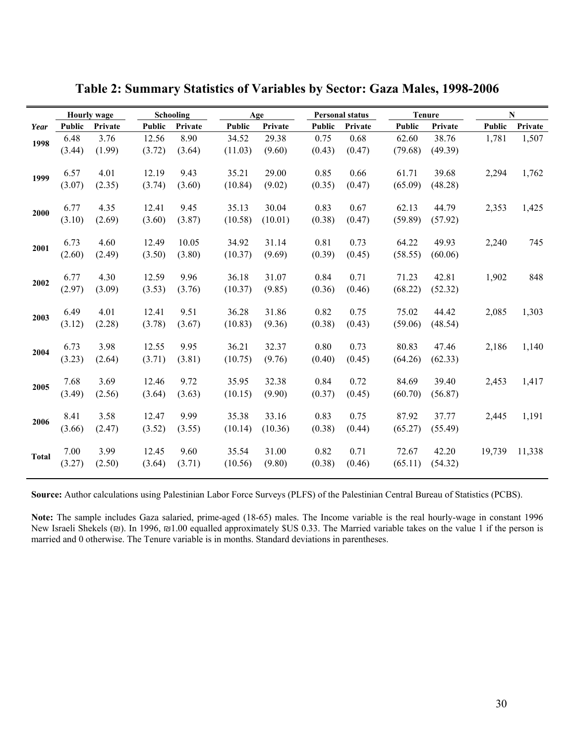|              | <b>Hourly wage</b> |         | Schooling |         |         | Age     |               | <b>Personal status</b> |         | <b>Tenure</b> | N      |         |
|--------------|--------------------|---------|-----------|---------|---------|---------|---------------|------------------------|---------|---------------|--------|---------|
| Year         | Public             | Private | Public    | Private | Public  | Private | <b>Public</b> | Private                | Public  | Private       | Public | Private |
| 1998         | 6.48               | 3.76    | 12.56     | 8.90    | 34.52   | 29.38   | 0.75          | 0.68                   | 62.60   | 38.76         | 1,781  | 1,507   |
|              | (3.44)             | (1.99)  | (3.72)    | (3.64)  | (11.03) | (9.60)  | (0.43)        | (0.47)                 | (79.68) | (49.39)       |        |         |
| 1999         | 6.57               | 4.01    | 12.19     | 9.43    | 35.21   | 29.00   | 0.85          | 0.66                   | 61.71   | 39.68         | 2,294  | 1,762   |
|              | (3.07)             | (2.35)  | (3.74)    | (3.60)  | (10.84) | (9.02)  | (0.35)        | (0.47)                 | (65.09) | (48.28)       |        |         |
| 2000         | 6.77               | 4.35    | 12.41     | 9.45    | 35.13   | 30.04   | 0.83          | 0.67                   | 62.13   | 44.79         | 2,353  | 1,425   |
|              | (3.10)             | (2.69)  | (3.60)    | (3.87)  | (10.58) | (10.01) | (0.38)        | (0.47)                 | (59.89) | (57.92)       |        |         |
| 2001         | 6.73               | 4.60    | 12.49     | 10.05   | 34.92   | 31.14   | 0.81          | 0.73                   | 64.22   | 49.93         | 2,240  | 745     |
|              | (2.60)             | (2.49)  | (3.50)    | (3.80)  | (10.37) | (9.69)  | (0.39)        | (0.45)                 | (58.55) | (60.06)       |        |         |
| 2002         | 6.77               | 4.30    | 12.59     | 9.96    | 36.18   | 31.07   | 0.84          | 0.71                   | 71.23   | 42.81         | 1,902  | 848     |
|              | (2.97)             | (3.09)  | (3.53)    | (3.76)  | (10.37) | (9.85)  | (0.36)        | (0.46)                 | (68.22) | (52.32)       |        |         |
| 2003         | 6.49               | 4.01    | 12.41     | 9.51    | 36.28   | 31.86   | 0.82          | 0.75                   | 75.02   | 44.42         | 2,085  | 1,303   |
|              | (3.12)             | (2.28)  | (3.78)    | (3.67)  | (10.83) | (9.36)  | (0.38)        | (0.43)                 | (59.06) | (48.54)       |        |         |
| 2004         | 6.73               | 3.98    | 12.55     | 9.95    | 36.21   | 32.37   | 0.80          | 0.73                   | 80.83   | 47.46         | 2,186  | 1,140   |
|              | (3.23)             | (2.64)  | (3.71)    | (3.81)  | (10.75) | (9.76)  | (0.40)        | (0.45)                 | (64.26) | (62.33)       |        |         |
| 2005         | 7.68               | 3.69    | 12.46     | 9.72    | 35.95   | 32.38   | 0.84          | 0.72                   | 84.69   | 39.40         | 2,453  | 1,417   |
|              | (3.49)             | (2.56)  | (3.64)    | (3.63)  | (10.15) | (9.90)  | (0.37)        | (0.45)                 | (60.70) | (56.87)       |        |         |
| 2006         | 8.41               | 3.58    | 12.47     | 9.99    | 35.38   | 33.16   | 0.83          | 0.75                   | 87.92   | 37.77         | 2,445  | 1,191   |
|              | (3.66)             | (2.47)  | (3.52)    | (3.55)  | (10.14) | (10.36) | (0.38)        | (0.44)                 | (65.27) | (55.49)       |        |         |
| <b>Total</b> | 7.00               | 3.99    | 12.45     | 9.60    | 35.54   | 31.00   | 0.82          | 0.71                   | 72.67   | 42.20         | 19,739 | 11,338  |
|              | (3.27)             | (2.50)  | (3.64)    | (3.71)  | (10.56) | (9.80)  | (0.38)        | (0.46)                 | (65.11) | (54.32)       |        |         |

**Table 2: Summary Statistics of Variables by Sector: Gaza Males, 1998-2006** 

**Note:** The sample includes Gaza salaried, prime-aged (18-65) males. The Income variable is the real hourly-wage in constant 1996 New Israeli Shekels (₪). In 1996, ₪1.00 equalled approximately \$US 0.33. The Married variable takes on the value 1 if the person is married and 0 otherwise. The Tenure variable is in months. Standard deviations in parentheses.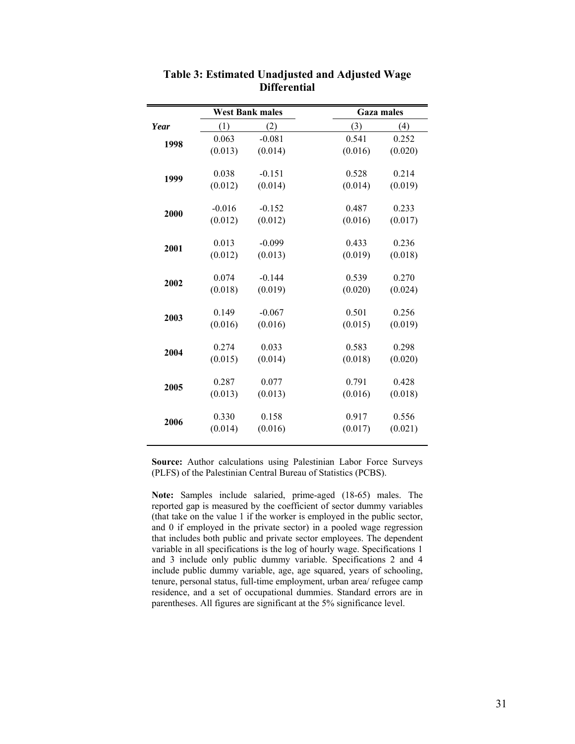|      |          | <b>West Bank males</b> | <b>Gaza males</b> |         |
|------|----------|------------------------|-------------------|---------|
| Year | (1)      | (2)                    | (3)               | (4)     |
| 1998 | 0.063    | $-0.081$               | 0.541             | 0.252   |
|      | (0.013)  | (0.014)                | (0.016)           | (0.020) |
|      | 0.038    | $-0.151$               | 0.528             | 0.214   |
| 1999 | (0.012)  | (0.014)                | (0.014)           | (0.019) |
|      |          |                        |                   |         |
| 2000 | $-0.016$ | $-0.152$               | 0.487             | 0.233   |
|      | (0.012)  | (0.012)                | (0.016)           | (0.017) |
| 2001 | 0.013    | $-0.099$               | 0.433             | 0.236   |
|      | (0.012)  | (0.013)                | (0.019)           | (0.018) |
|      | 0.074    | $-0.144$               | 0.539             | 0.270   |
| 2002 | (0.018)  | (0.019)                | (0.020)           | (0.024) |
|      | 0.149    | $-0.067$               | 0.501             | 0.256   |
| 2003 | (0.016)  | (0.016)                | (0.015)           | (0.019) |
|      |          |                        |                   |         |
| 2004 | 0.274    | 0.033                  | 0.583             | 0.298   |
|      | (0.015)  | (0.014)                | (0.018)           | (0.020) |
|      | 0.287    | 0.077                  | 0.791             | 0.428   |
| 2005 | (0.013)  | (0.013)                | (0.016)           | (0.018) |
|      | 0.330    | 0.158                  | 0.917             | 0.556   |
| 2006 | (0.014)  | (0.016)                | (0.017)           | (0.021) |
|      |          |                        |                   |         |

## **Table 3: Estimated Unadjusted and Adjusted Wage Differential**

**Source:** Author calculations using Palestinian Labor Force Surveys (PLFS) of the Palestinian Central Bureau of Statistics (PCBS).

**Note:** Samples include salaried, prime-aged (18-65) males. The reported gap is measured by the coefficient of sector dummy variables (that take on the value 1 if the worker is employed in the public sector, and 0 if employed in the private sector) in a pooled wage regression that includes both public and private sector employees. The dependent variable in all specifications is the log of hourly wage. Specifications 1 and 3 include only public dummy variable. Specifications 2 and 4 include public dummy variable, age, age squared, years of schooling, tenure, personal status, full-time employment, urban area/ refugee camp residence, and a set of occupational dummies. Standard errors are in parentheses. All figures are significant at the 5% significance level.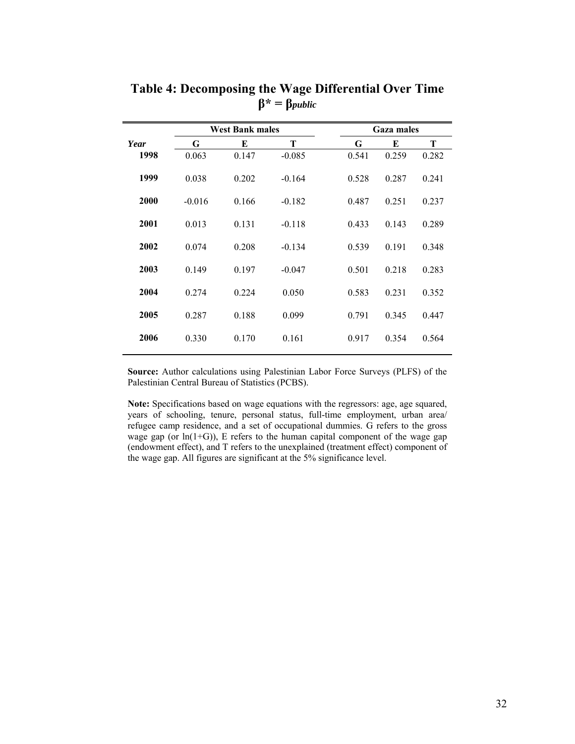|      |          | <b>West Bank males</b> |          |       | <b>Gaza males</b> |       |
|------|----------|------------------------|----------|-------|-------------------|-------|
| Year | G        | E                      | T        | G     | E                 | T     |
| 1998 | 0.063    | 0.147                  | $-0.085$ | 0.541 | 0.259             | 0.282 |
| 1999 | 0.038    | 0.202                  | $-0.164$ | 0.528 | 0.287             | 0.241 |
| 2000 | $-0.016$ | 0.166                  | $-0.182$ | 0.487 | 0.251             | 0.237 |
| 2001 | 0.013    | 0.131                  | $-0.118$ | 0.433 | 0.143             | 0.289 |
| 2002 | 0.074    | 0.208                  | $-0.134$ | 0.539 | 0.191             | 0.348 |
| 2003 | 0.149    | 0.197                  | $-0.047$ | 0.501 | 0.218             | 0.283 |
| 2004 | 0.274    | 0.224                  | 0.050    | 0.583 | 0.231             | 0.352 |
| 2005 | 0.287    | 0.188                  | 0.099    | 0.791 | 0.345             | 0.447 |
| 2006 | 0.330    | 0.170                  | 0.161    | 0.917 | 0.354             | 0.564 |
|      |          |                        |          |       |                   |       |

**Table 4: Decomposing the Wage Differential Over Time β\* = β***public*

**Note:** Specifications based on wage equations with the regressors: age, age squared, years of schooling, tenure, personal status, full-time employment, urban area/ refugee camp residence, and a set of occupational dummies. G refers to the gross wage gap (or  $ln(1+G)$ ), E refers to the human capital component of the wage gap (endowment effect), and T refers to the unexplained (treatment effect) component of the wage gap. All figures are significant at the 5% significance level.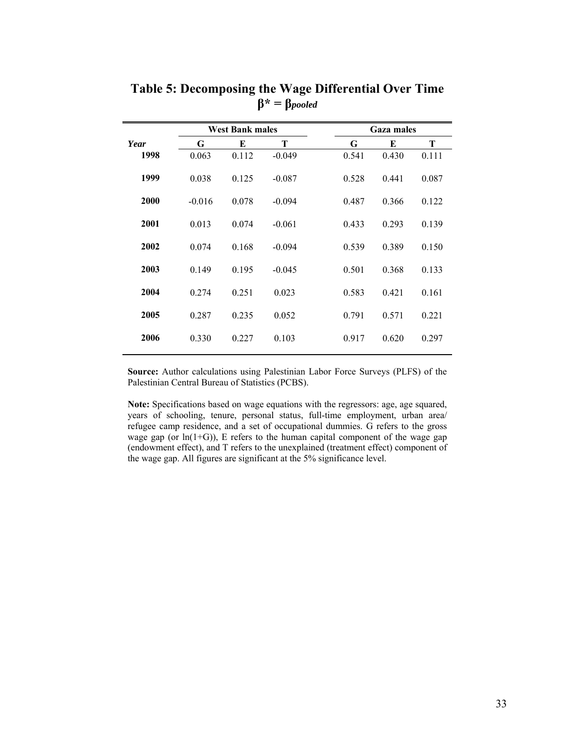|      |          | <b>West Bank males</b> |          |       | <b>Gaza males</b> |       |  |  |  |  |
|------|----------|------------------------|----------|-------|-------------------|-------|--|--|--|--|
| Year | G        | E                      | Т        | G     | E                 | T     |  |  |  |  |
| 1998 | 0.063    | 0.112                  | $-0.049$ | 0.541 | 0.430             | 0.111 |  |  |  |  |
| 1999 | 0.038    | 0.125                  | $-0.087$ | 0.528 | 0.441             | 0.087 |  |  |  |  |
| 2000 | $-0.016$ | 0.078                  | $-0.094$ | 0.487 | 0.366             | 0.122 |  |  |  |  |
| 2001 | 0.013    | 0.074                  | $-0.061$ | 0.433 | 0.293             | 0.139 |  |  |  |  |
| 2002 | 0.074    | 0.168                  | $-0.094$ | 0.539 | 0.389             | 0.150 |  |  |  |  |
| 2003 | 0.149    | 0.195                  | $-0.045$ | 0.501 | 0.368             | 0.133 |  |  |  |  |
| 2004 | 0.274    | 0.251                  | 0.023    | 0.583 | 0.421             | 0.161 |  |  |  |  |
| 2005 | 0.287    | 0.235                  | 0.052    | 0.791 | 0.571             | 0.221 |  |  |  |  |
| 2006 | 0.330    | 0.227                  | 0.103    | 0.917 | 0.620             | 0.297 |  |  |  |  |
|      |          |                        |          |       |                   |       |  |  |  |  |

**Table 5: Decomposing the Wage Differential Over Time β\* = β***pooled*

**Note:** Specifications based on wage equations with the regressors: age, age squared, years of schooling, tenure, personal status, full-time employment, urban area/ refugee camp residence, and a set of occupational dummies. G refers to the gross wage gap (or  $ln(1+G)$ ), E refers to the human capital component of the wage gap (endowment effect), and T refers to the unexplained (treatment effect) component of the wage gap. All figures are significant at the 5% significance level.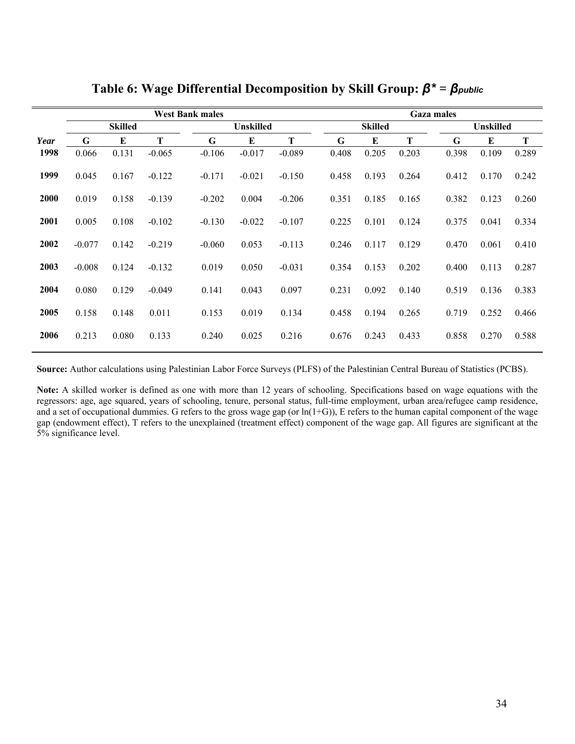|      |                |       | <b>Gaza males</b> |          |                  |          |  |       |                |       |  |       |                  |       |  |
|------|----------------|-------|-------------------|----------|------------------|----------|--|-------|----------------|-------|--|-------|------------------|-------|--|
|      | <b>Skilled</b> |       |                   |          | <b>Unskilled</b> |          |  |       | <b>Skilled</b> |       |  |       | <b>Unskilled</b> |       |  |
| Year | G              | E     | T                 | G        | E                | T        |  | G     | E              | Т     |  | G     | E                | T     |  |
| 1998 | 0.066          | 0.131 | $-0.065$          | $-0.106$ | $-0.017$         | $-0.089$ |  | 0.408 | 0.205          | 0.203 |  | 0.398 | 0.109            | 0.289 |  |
| 1999 | 0.045          | 0.167 | $-0.122$          | $-0.171$ | $-0.021$         | $-0.150$ |  | 0.458 | 0.193          | 0.264 |  | 0.412 | 0.170            | 0.242 |  |
| 2000 | 0.019          | 0.158 | $-0.139$          | $-0.202$ | 0.004            | $-0.206$ |  | 0.351 | 0.185          | 0.165 |  | 0.382 | 0.123            | 0.260 |  |
| 2001 | 0.005          | 0.108 | $-0.102$          | $-0.130$ | $-0.022$         | $-0.107$ |  | 0.225 | 0.101          | 0.124 |  | 0.375 | 0.041            | 0.334 |  |
| 2002 | $-0.077$       | 0.142 | $-0.219$          | $-0.060$ | 0.053            | $-0.113$ |  | 0.246 | 0.117          | 0.129 |  | 0.470 | 0.061            | 0.410 |  |
| 2003 | $-0.008$       | 0.124 | $-0.132$          | 0.019    | 0.050            | $-0.031$ |  | 0.354 | 0.153          | 0.202 |  | 0.400 | 0.113            | 0.287 |  |
| 2004 | 0.080          | 0.129 | $-0.049$          | 0.141    | 0.043            | 0.097    |  | 0.231 | 0.092          | 0.140 |  | 0.519 | 0.136            | 0.383 |  |
| 2005 | 0.158          | 0.148 | 0.011             | 0.153    | 0.019            | 0.134    |  | 0.458 | 0.194          | 0.265 |  | 0.719 | 0.252            | 0.466 |  |
| 2006 | 0.213          | 0.080 | 0.133             | 0.240    | 0.025            | 0.216    |  | 0.676 | 0.243          | 0.433 |  | 0.858 | 0.270            | 0.588 |  |

**Table 6: Wage Differential Decomposition by Skill Group:** *β\* = βpublic*

**Note:** A skilled worker is defined as one with more than 12 years of schooling. Specifications based on wage equations with the regressors: age, age squared, years of schooling, tenure, personal status, full-time employment, urban area/refugee camp residence, and a set of occupational dummies. G refers to the gross wage gap (or  $ln(1+G)$ ), E refers to the human capital component of the wage gap (endowment effect), T refers to the unexplained (treatment effect) component of the wage gap. All figures are significant at the 5% significance level.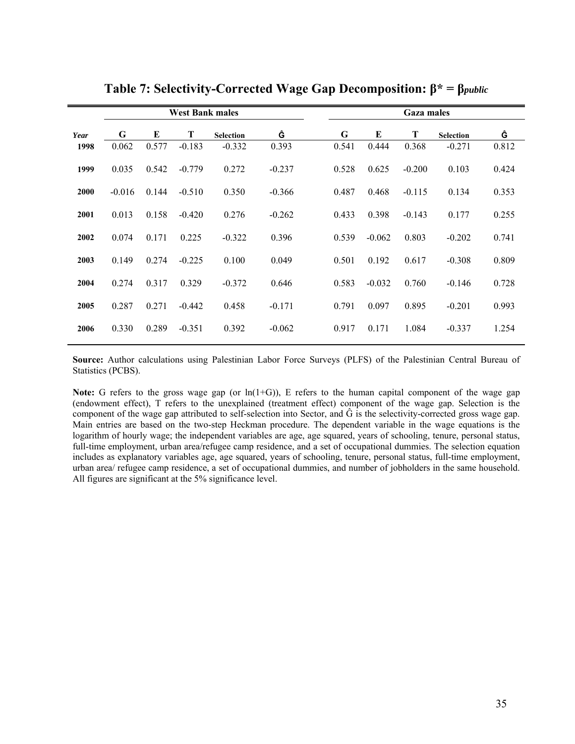|      |          |       | <b>West Bank males</b> |                  |          |       | <b>Gaza males</b> |          |                  |       |  |  |  |  |  |
|------|----------|-------|------------------------|------------------|----------|-------|-------------------|----------|------------------|-------|--|--|--|--|--|
| Year | G        | E     | T                      | <b>Selection</b> | Ĝ        | G     | E                 | T        | <b>Selection</b> | Ĝ     |  |  |  |  |  |
| 1998 | 0.062    | 0.577 | $-0.183$               | $-0.332$         | 0.393    | 0.541 | 0.444             | 0.368    | $-0.271$         | 0.812 |  |  |  |  |  |
| 1999 | 0.035    | 0.542 | $-0.779$               | 0.272            | $-0.237$ | 0.528 | 0.625             | $-0.200$ | 0.103            | 0.424 |  |  |  |  |  |
| 2000 | $-0.016$ | 0.144 | $-0.510$               | 0.350            | $-0.366$ | 0.487 | 0.468             | $-0.115$ | 0.134            | 0.353 |  |  |  |  |  |
| 2001 | 0.013    | 0.158 | $-0.420$               | 0.276            | $-0.262$ | 0.433 | 0.398             | $-0.143$ | 0.177            | 0.255 |  |  |  |  |  |
| 2002 | 0.074    | 0.171 | 0.225                  | $-0.322$         | 0.396    | 0.539 | $-0.062$          | 0.803    | $-0.202$         | 0.741 |  |  |  |  |  |
| 2003 | 0.149    | 0.274 | $-0.225$               | 0.100            | 0.049    | 0.501 | 0.192             | 0.617    | $-0.308$         | 0.809 |  |  |  |  |  |
| 2004 | 0.274    | 0.317 | 0.329                  | $-0.372$         | 0.646    | 0.583 | $-0.032$          | 0.760    | $-0.146$         | 0.728 |  |  |  |  |  |
| 2005 | 0.287    | 0.271 | $-0.442$               | 0.458            | $-0.171$ | 0.791 | 0.097             | 0.895    | $-0.201$         | 0.993 |  |  |  |  |  |
| 2006 | 0.330    | 0.289 | $-0.351$               | 0.392            | $-0.062$ | 0.917 | 0.171             | 1.084    | $-0.337$         | 1.254 |  |  |  |  |  |

**Table 7: Selectivity-Corrected Wage Gap Decomposition: β\* = β***public*

**Note:** G refers to the gross wage gap (or  $\ln(1+G)$ ), E refers to the human capital component of the wage gap (endowment effect), T refers to the unexplained (treatment effect) component of the wage gap. Selection is the component of the wage gap attributed to self-selection into Sector, and  $\hat{G}$  is the selectivity-corrected gross wage gap. Main entries are based on the two-step Heckman procedure. The dependent variable in the wage equations is the logarithm of hourly wage; the independent variables are age, age squared, years of schooling, tenure, personal status, full-time employment, urban area/refugee camp residence, and a set of occupational dummies. The selection equation includes as explanatory variables age, age squared, years of schooling, tenure, personal status, full-time employment, urban area/ refugee camp residence, a set of occupational dummies, and number of jobholders in the same household. All figures are significant at the 5% significance level.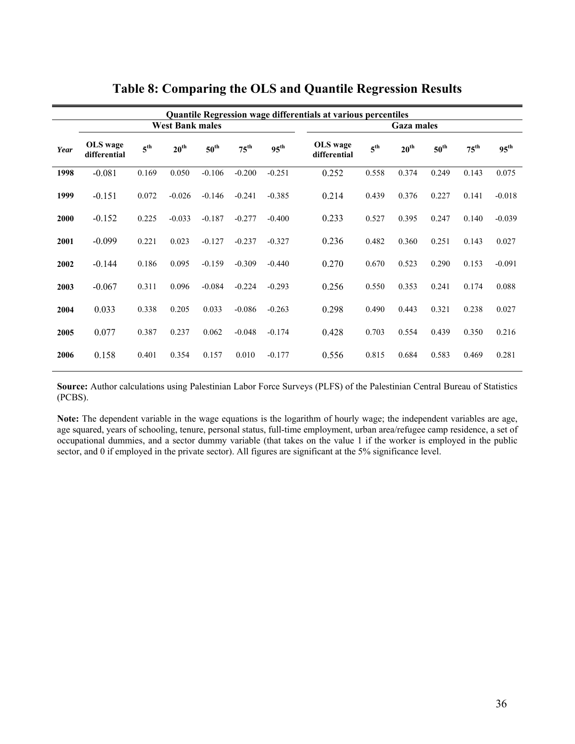|      |                          |                 |                        |                  |                  | <b>Quantile Regression wage differentials at various percentiles</b> |                          |                 |                  |                  |                  |                  |  |
|------|--------------------------|-----------------|------------------------|------------------|------------------|----------------------------------------------------------------------|--------------------------|-----------------|------------------|------------------|------------------|------------------|--|
|      |                          |                 | <b>West Bank males</b> |                  |                  | <b>Gaza males</b>                                                    |                          |                 |                  |                  |                  |                  |  |
| Year | OLS wage<br>differential | 5 <sup>th</sup> | 20 <sup>th</sup>       | $50^{\text{th}}$ | $75^{\text{th}}$ | $95^{\text{th}}$                                                     | OLS wage<br>differential | 5 <sup>th</sup> | 20 <sup>th</sup> | $50^{\text{th}}$ | $75^{\text{th}}$ | $95^{\text{th}}$ |  |
| 1998 | $-0.081$                 | 0.169           | 0.050                  | $-0.106$         | $-0.200$         | $-0.251$                                                             | 0.252                    | 0.558           | 0.374            | 0.249            | 0.143            | 0.075            |  |
| 1999 | $-0.151$                 | 0.072           | $-0.026$               | $-0.146$         | $-0.241$         | $-0.385$                                                             | 0.214                    | 0.439           | 0.376            | 0.227            | 0.141            | $-0.018$         |  |
| 2000 | $-0.152$                 | 0.225           | $-0.033$               | $-0.187$         | $-0.277$         | $-0.400$                                                             | 0.233                    | 0.527           | 0.395            | 0.247            | 0.140            | $-0.039$         |  |
| 2001 | $-0.099$                 | 0.221           | 0.023                  | $-0.127$         | $-0.237$         | $-0.327$                                                             | 0.236                    | 0.482           | 0.360            | 0.251            | 0.143            | 0.027            |  |
| 2002 | $-0.144$                 | 0.186           | 0.095                  | $-0.159$         | $-0.309$         | $-0.440$                                                             | 0.270                    | 0.670           | 0.523            | 0.290            | 0.153            | $-0.091$         |  |
| 2003 | $-0.067$                 | 0.311           | 0.096                  | $-0.084$         | $-0.224$         | $-0.293$                                                             | 0.256                    | 0.550           | 0.353            | 0.241            | 0.174            | 0.088            |  |
| 2004 | 0.033                    | 0.338           | 0.205                  | 0.033            | $-0.086$         | $-0.263$                                                             | 0.298                    | 0.490           | 0.443            | 0.321            | 0.238            | 0.027            |  |
| 2005 | 0.077                    | 0.387           | 0.237                  | 0.062            | $-0.048$         | $-0.174$                                                             | 0.428                    | 0.703           | 0.554            | 0.439            | 0.350            | 0.216            |  |
| 2006 | 0.158                    | 0.401           | 0.354                  | 0.157            | 0.010            | $-0.177$                                                             | 0.556                    | 0.815           | 0.684            | 0.583            | 0.469            | 0.281            |  |

**Table 8: Comparing the OLS and Quantile Regression Results** 

**Note:** The dependent variable in the wage equations is the logarithm of hourly wage; the independent variables are age, age squared, years of schooling, tenure, personal status, full-time employment, urban area/refugee camp residence, a set of occupational dummies, and a sector dummy variable (that takes on the value 1 if the worker is employed in the public sector, and 0 if employed in the private sector). All figures are significant at the 5% significance level.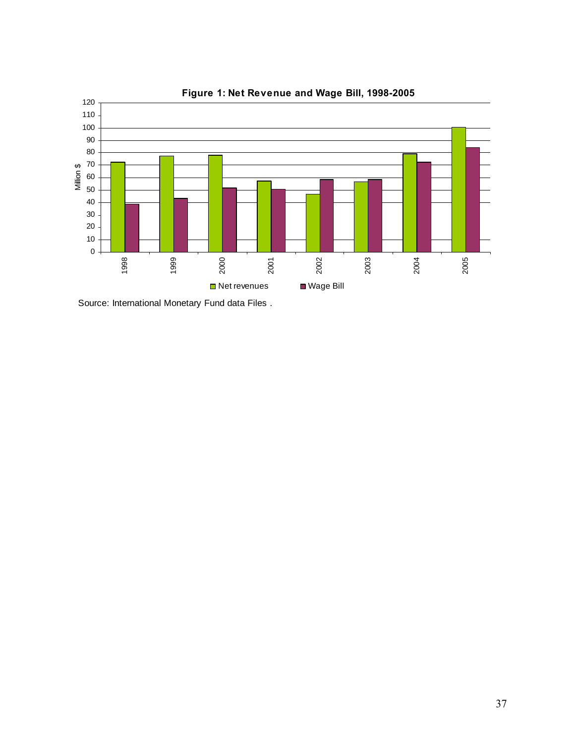

**Figure 1: Net Revenue and Wage Bill, 1998-2005** 

Source: International Monetary Fund data Files .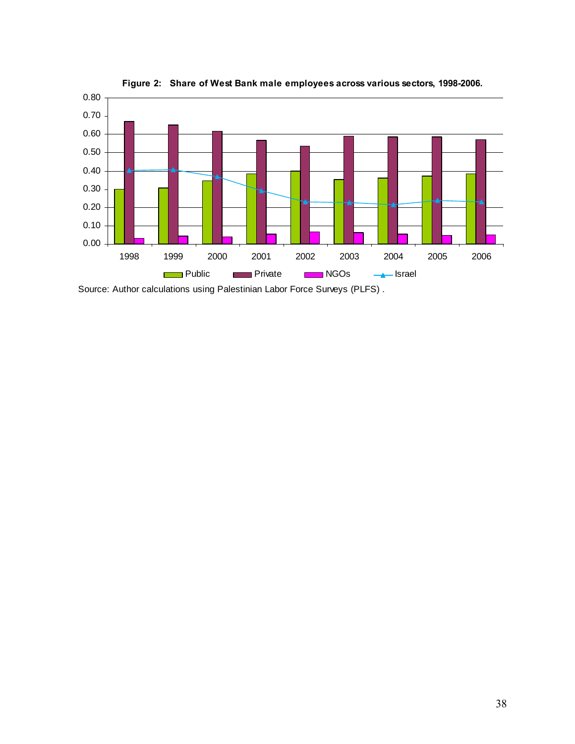

**Figure 2: Share of West Bank male employees across various sectors, 1998-2006.** 

Source: Author calculations using Palestinian Labor Force Surveys (PLFS) .